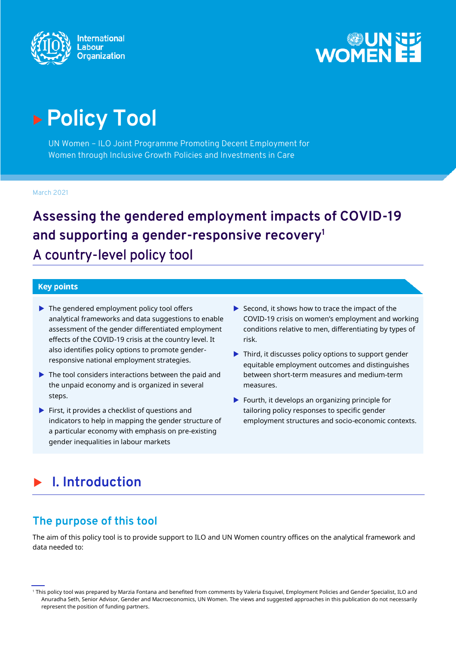



# **Policy Tool**

UN Women – ILO Joint Programme Promoting Decent Employment for Women through Inclusive Growth Policies and Investments in Care

March 2021

**Assessing the gendered employment impacts of COVID-19 and supporting a gender-responsive recovery<sup>1</sup>** A country-level policy tool

#### **Key points**

- ▶ The gendered employment policy tool offers analytical frameworks and data suggestions to enable assessment of the gender differentiated employment effects of the COVID-19 crisis at the country level. It also identifies policy options to promote genderresponsive national employment strategies.
- $\blacktriangleright$  The tool considers interactions between the paid and the unpaid economy and is organized in several steps.
- $\blacktriangleright$  First, it provides a checklist of questions and indicators to help in mapping the gender structure of a particular economy with emphasis on pre-existing gender inequalities in labour markets
- $\blacktriangleright$  Second, it shows how to trace the impact of the COVID-19 crisis on women's employment and working conditions relative to men, differentiating by types of risk.
- ▶ Third, it discusses policy options to support gender equitable employment outcomes and distinguishes between short-term measures and medium-term measures.
- $\blacktriangleright$  Fourth, it develops an organizing principle for tailoring policy responses to specific gender employment structures and socio-economic contexts.

# **I. Introduction**

# **The purpose of this tool**

The aim of this policy tool is to provide support to ILO and UN Women country offices on the analytical framework and data needed to:

<sup>1</sup> This policy tool was prepared by Marzia Fontana and benefited from comments by Valeria Esquivel, Employment Policies and Gender Specialist, ILO and Anuradha Seth, Senior Advisor, Gender and Macroeconomics, UN Women. The views and suggested approaches in this publication do not necessarily represent the position of funding partners.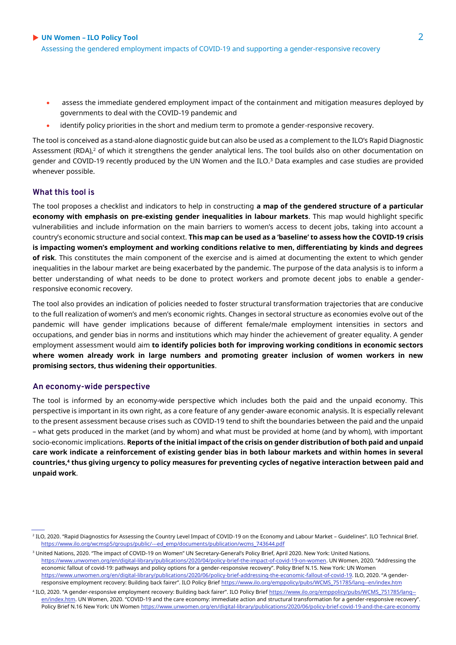- assess the immediate gendered employment impact of the containment and mitigation measures deployed by governments to deal with the COVID-19 pandemic and
- identify policy priorities in the short and medium term to promote a gender-responsive recovery.

The tool is conceived as a stand-alone diagnostic guide but can also be used as a complement to the ILO's Rapid Diagnostic Assessment (RDA), $2$  of which it strengthens the gender analytical lens. The tool builds also on other documentation on gender and COVID-19 recently produced by the UN Women and the ILO.<sup>3</sup> Data examples and case studies are provided whenever possible.

#### **What this tool is**

The tool proposes a checklist and indicators to help in constructing **a map of the gendered structure of a particular economy with emphasis on pre-existing gender inequalities in labour markets**. This map would highlight specific vulnerabilities and include information on the main barriers to women's access to decent jobs, taking into account a country's economic structure and social context. **This map can be used as a 'baseline' to assess how the COVID-19 crisis is impacting women's employment and working conditions relative to men, differentiating by kinds and degrees of risk**. This constitutes the main component of the exercise and is aimed at documenting the extent to which gender inequalities in the labour market are being exacerbated by the pandemic. The purpose of the data analysis is to inform a better understanding of what needs to be done to protect workers and promote decent jobs to enable a genderresponsive economic recovery.

The tool also provides an indication of policies needed to foster structural transformation trajectories that are conducive to the full realization of women's and men's economic rights. Changes in sectoral structure as economies evolve out of the pandemic will have gender implications because of different female/male employment intensities in sectors and occupations, and gender bias in norms and institutions which may hinder the achievement of greater equality. A gender employment assessment would aim **to identify policies both for improving working conditions in economic sectors where women already work in large numbers and promoting greater inclusion of women workers in new promising sectors, thus widening their opportunities**.

#### **An economy-wide perspective**

The tool is informed by an economy-wide perspective which includes both the paid and the unpaid economy. This perspective is important in its own right, as a core feature of any gender-aware economic analysis. It is especially relevant to the present assessment because crises such as COVID-19 tend to shift the boundaries between the paid and the unpaid – what gets produced in the market (and by whom) and what must be provided at home (and by whom), with important socio-economic implications. **Reports of the initial impact of the crisis on gender distribution of both paid and unpaid care work indicate a reinforcement of existing gender bias in both labour markets and within homes in several countries,<sup>4</sup> thus giving urgency to policy measures for preventing cycles of negative interaction between paid and unpaid work**.

<sup>2</sup> ILO, 2020. "Rapid Diagnostics for Assessing the Country Level Impact of COVID-19 on the Economy and Labour Market – Guidelines". ILO Technical Brief. [https://www.ilo.org/wcmsp5/groups/public/---ed\\_emp/documents/publication/wcms\\_743644.pdf](https://www.ilo.org/wcmsp5/groups/public/---ed_emp/documents/publication/wcms_743644.pdf)

<sup>&</sup>lt;sup>3</sup> United Nations, 2020. "The impact of COVID-19 on Women" UN Secretary-General's Policy Brief, April 2020. New York: United Nations. <https://www.unwomen.org/en/digital-library/publications/2020/04/policy-brief-the-impact-of-covid-19-on-women>. UN Women, 2020. "Addressing the economic fallout of covid-19: pathways and policy options for a gender-responsive recovery". Policy Brief N.15. New York: UN Women <https://www.unwomen.org/en/digital-library/publications/2020/06/policy-brief-addressing-the-economic-fallout-of-covid-19>. ILO, 2020. "A genderresponsive employment recovery: Building back fairer". ILO Policy Brief [https://www.ilo.org/emppolicy/pubs/WCMS\\_751785/lang--en/index.htm](https://www.ilo.org/emppolicy/pubs/WCMS_751785/lang--en/index.htm)

<sup>4</sup> ILO, 2020. "A gender-responsive employment recovery: Building back fairer". ILO Policy Brief [https://www.ilo.org/emppolicy/pubs/WCMS\\_751785/lang-](https://www.ilo.org/emppolicy/pubs/WCMS_751785/lang--en/index.htm) [en/index.htm.](https://www.ilo.org/emppolicy/pubs/WCMS_751785/lang--en/index.htm) UN Women, 2020. "COVID-19 and the care economy: immediate action and structural transformation for a gender-responsive recovery". Policy Brief N.16 New York: UN Wome[n https://www.unwomen.org/en/digital-library/publications/2020/06/policy-brief-covid-19-and-the-care-economy](https://www.unwomen.org/en/digital-library/publications/2020/06/policy-brief-covid-19-and-the-care-economy)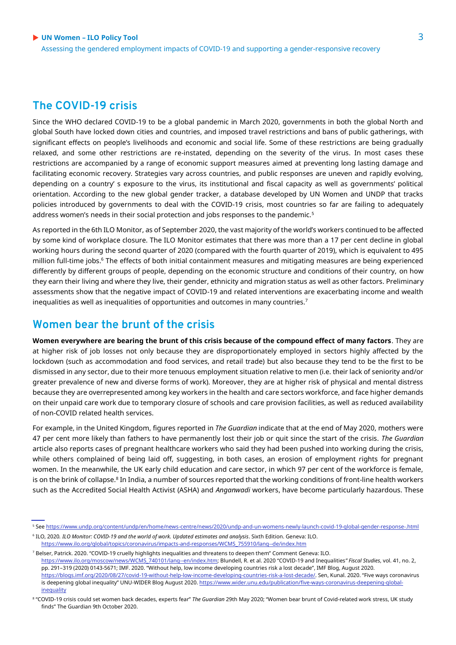### **The COVID-19 crisis**

Since the WHO declared COVID-19 to be a global pandemic in March 2020, governments in both the global North and global South have locked down cities and countries, and imposed travel restrictions and bans of public gatherings, with significant effects on people's livelihoods and economic and social life. Some of these restrictions are being gradually relaxed, and some other restrictions are re-instated, depending on the severity of the virus. In most cases these restrictions are accompanied by a range of economic support measures aimed at preventing long lasting damage and facilitating economic recovery. Strategies vary across countries, and public responses are uneven and rapidly evolving, depending on a country' s exposure to the virus, its institutional and fiscal capacity as well as governments' political orientation. According to the new global gender tracker, a database developed by UN Women and UNDP that tracks policies introduced by governments to deal with the COVID-19 crisis, most countries so far are failing to adequately address women's needs in their social protection and jobs responses to the pandemic.<sup>5</sup>

As reported in the 6th ILO Monitor, as of September 2020, the vast majority of the world's workers continued to be affected by some kind of workplace closure. The ILO Monitor estimates that there was more than a 17 per cent decline in global working hours during the second quarter of 2020 (compared with the fourth quarter of 2019), which is equivalent to 495 million full-time jobs.<sup>6</sup> The effects of both initial containment measures and mitigating measures are being experienced differently by different groups of people, depending on the economic structure and conditions of their country, on how they earn their living and where they live, their gender, ethnicity and migration status as well as other factors. Preliminary assessments show that the negative impact of COVID-19 and related interventions are exacerbating income and wealth inequalities as well as inequalities of opportunities and outcomes in many countries.<sup>7</sup>

### **Women bear the brunt of the crisis**

**Women everywhere are bearing the brunt of this crisis because of the compound effect of many factors**. They are at higher risk of job losses not only because they are disproportionately employed in sectors highly affected by the lockdown (such as accommodation and food services, and retail trade) but also because they tend to be the first to be dismissed in any sector, due to their more tenuous employment situation relative to men (i.e. their lack of seniority and/or greater prevalence of new and diverse forms of work). Moreover, they are at higher risk of physical and mental distress because they are overrepresented among key workers in the health and care sectors workforce, and face higher demands on their unpaid care work due to temporary closure of schools and care provision facilities, as well as reduced availability of non-COVID related health services.

For example, in the United Kingdom, figures reported in *The Guardian* indicate that at the end of May 2020, mothers were 47 per cent more likely than fathers to have permanently lost their job or quit since the start of the crisis. *The Guardian* article also reports cases of pregnant healthcare workers who said they had been pushed into working during the crisis, while others complained of being laid off, suggesting, in both cases, an erosion of employment rights for pregnant women. In the meanwhile, the UK early child education and care sector, in which 97 per cent of the workforce is female, is on the brink of collapse.<sup>8</sup> In India, a number of sources reported that the working conditions of front-line health workers such as the Accredited Social Health Activist (ASHA) and *Anganwadi* workers, have become particularly hazardous. These

pp. 291–319 (2020) 0143-5671; IMF. 2020. "Without help, low income developing countries risk a lost decade", IMF Blog, August 2020. <https://blogs.imf.org/2020/08/27/covid-19-without-help-low-income-developing-countries-risk-a-lost-decade/>. Sen, Kunal. 2020. "Five ways coronavirus

<sup>5</sup> Se[e https://www.undp.org/content/undp/en/home/news-centre/news/2020/undp-and-un-womens-newly-launch-covid-19-global-gender-response-.html](https://www.undp.org/content/undp/en/home/news-centre/news/2020/undp-and-un-womens-newly-launch-covid-19-global-gender-response-.html)

<sup>6</sup> ILO, 2020*. ILO Monitor: COVID-19 and the world of work. Updated estimates and analysis*. Sixth Edition. Geneva: ILO.

[https://www.ilo.org/global/topics/coronavirus/impacts-and-responses/WCMS\\_755910/lang--de/index.htm](https://www.ilo.org/global/topics/coronavirus/impacts-and-responses/WCMS_755910/lang--de/index.htm) <sup>7</sup> Belser, Patrick. 2020. "COVID-19 cruelly highlights inequalities and threatens to deepen them" Comment Geneva: ILO. [https://www.ilo.org/moscow/news/WCMS\\_740101/lang--en/index.htm](https://www.ilo.org/moscow/news/WCMS_740101/lang--en/index.htm); Blundell, R. et al. 2020 "COVID-19 and Inequalities*" Fiscal Studies*, vol. 41, no. 2,

is deepening global inequality" UNU-WIDER Blog August 2020[. https://www.wider.unu.edu/publication/five-ways-coronavirus-deepening-global](https://www.wider.unu.edu/publication/five-ways-coronavirus-deepening-global-inequality)**[inequality](https://www.wider.unu.edu/publication/five-ways-coronavirus-deepening-global-inequality)** 

<sup>8</sup> "COVID-19 crisis could set women back decades, experts fear" *The Guardian* 29th May 2020; "Women bear brunt of Covid-related work stress, UK study finds" The Guardian 9th October 2020.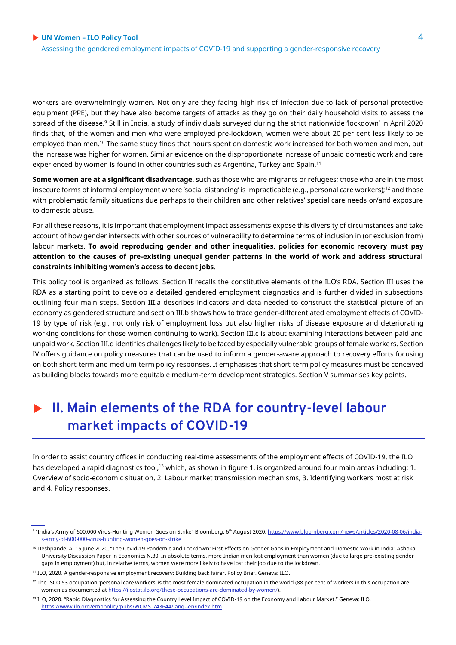workers are overwhelmingly women. Not only are they facing high risk of infection due to lack of personal protective equipment (PPE), but they have also become targets of attacks as they go on their daily household visits to assess the spread of the disease.<sup>9</sup> Still in India, a study of individuals surveyed during the strict nationwide 'lockdown' in April 2020 finds that, of the women and men who were employed pre-lockdown, women were about 20 per cent less likely to be employed than men.<sup>10</sup> The same study finds that hours spent on domestic work increased for both women and men, but the increase was higher for women. Similar evidence on the disproportionate increase of unpaid domestic work and care experienced by women is found in other countries such as Argentina, Turkey and Spain.<sup>11</sup>

**Some women are at a significant disadvantage**, such as those who are migrants or refugees; those who are in the most insecure forms of informal employment where 'social distancing' is impracticable (e.g., personal care workers);<sup>12</sup> and those with problematic family situations due perhaps to their children and other relatives' special care needs or/and exposure to domestic abuse.

For all these reasons, it is important that employment impact assessments expose this diversity of circumstances and take account of how gender intersects with other sources of vulnerability to determine terms of inclusion in (or exclusion from) labour markets. **To avoid reproducing gender and other inequalities, policies for economic recovery must pay attention to the causes of pre-existing unequal gender patterns in the world of work and address structural constraints inhibiting women's access to decent jobs**.

This policy tool is organized as follows. Section II recalls the constitutive elements of the ILO's RDA. Section III uses the RDA as a starting point to develop a detailed gendered employment diagnostics and is further divided in subsections outlining four main steps. Section III.a describes indicators and data needed to construct the statistical picture of an economy as gendered structure and section III.b shows how to trace gender-differentiated employment effects of COVID-19 by type of risk (e.g., not only risk of employment loss but also higher risks of disease exposure and deteriorating working conditions for those women continuing to work). Section III.c is about examining interactions between paid and unpaid work. Section III.d identifies challenges likely to be faced by especially vulnerable groups of female workers. Section IV offers guidance on policy measures that can be used to inform a gender-aware approach to recovery efforts focusing on both short-term and medium-term policy responses. It emphasises that short-term policy measures must be conceived as building blocks towards more equitable medium-term development strategies. Section V summarises key points.

# **II. Main elements of the RDA for country-level labour market impacts of COVID-19**

In order to assist country offices in conducting real-time assessments of the employment effects of COVID-19, the ILO has developed a rapid diagnostics tool,<sup>13</sup> which, as shown in figure 1, is organized around four main areas including: 1. Overview of socio-economic situation, 2. Labour market transmission mechanisms, 3. Identifying workers most at risk and 4. Policy responses.

<sup>&</sup>lt;sup>9</sup> "India's Army of 600,000 Virus-Hunting Women Goes on Strike" Bloomberg, 6ʰ August 2020. <u>https://www.bloomberg.com/news/articles/2020-08-06/india-</u> [s-army-of-600-000-virus-hunting-women-goes-on-strike](https://www.bloomberg.com/news/articles/2020-08-06/india-s-army-of-600-000-virus-hunting-women-goes-on-strike)

<sup>&</sup>lt;sup>10</sup> Deshpande, A. 15 June 2020, "The Covid-19 Pandemic and Lockdown: First Effects on Gender Gaps in Employment and Domestic Work in India" Ashoka University Discussion Paper in Economics N.30. In absolute terms, more Indian men lost employment than women (due to large pre-existing gender gaps in employment) but, in relative terms, women were more likely to have lost their job due to the lockdown.

<sup>11</sup> ILO, 2020. A gender-responsive employment recovery: Building back fairer. Policy Brief. Geneva: ILO.

<sup>&</sup>lt;sup>12</sup> The ISCO 53 occupation 'personal care workers' is the most female dominated occupation in the world (88 per cent of workers in this occupation are women as documented a[t https://ilostat.ilo.org/these-occupations-are-dominated-by-women/\)](https://ilostat.ilo.org/these-occupations-are-dominated-by-women/).

<sup>13</sup> ILO, 2020. "Rapid Diagnostics for Assessing the Country Level Impact of COVID-19 on the Economy and Labour Market." Geneva: ILO. [https://www.ilo.org/emppolicy/pubs/WCMS\\_743644/lang--en/index.htm](https://www.ilo.org/emppolicy/pubs/WCMS_743644/lang--en/index.htm)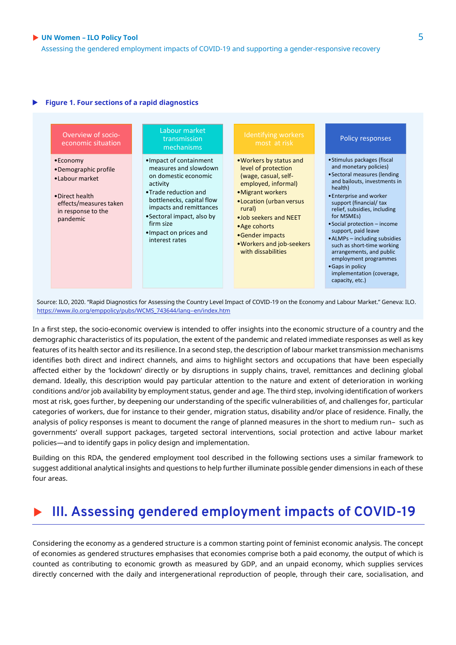Assessing the gendered employment impacts of COVID-19 and supporting a gender-responsive recovery

#### **Figure 1. Four sections of a rapid diagnostics**



Source: ILO, 2020. "Rapid Diagnostics for Assessing the Country Level Impact of COVID-19 on the Economy and Labour Market." Geneva: ILO. [https://www.ilo.org/emppolicy/pubs/WCMS\\_743644/lang--en/index.htm](https://www.ilo.org/emppolicy/pubs/WCMS_743644/lang--en/index.htm)

In a first step, the socio-economic overview is intended to offer insights into the economic structure of a country and the demographic characteristics of its population, the extent of the pandemic and related immediate responses as well as key features of its health sector and its resilience. In a second step, the description of labour market transmission mechanisms identifies both direct and indirect channels, and aims to highlight sectors and occupations that have been especially affected either by the 'lockdown' directly or by disruptions in supply chains, travel, remittances and declining global demand. Ideally, this description would pay particular attention to the nature and extent of deterioration in working conditions and/or job availability by employment status, gender and age. The third step, involving identification of workers most at risk, goes further, by deepening our understanding of the specific vulnerabilities of, and challenges for, particular categories of workers, due for instance to their gender, migration status, disability and/or place of residence. Finally, the analysis of policy responses is meant to document the range of planned measures in the short to medium run– such as governments' overall support packages, targeted sectoral interventions, social protection and active labour market policies—and to identify gaps in policy design and implementation.

Building on this RDA, the gendered employment tool described in the following sections uses a similar framework to suggest additional analytical insights and questions to help further illuminate possible gender dimensions in each of these four areas.

# **III. Assessing gendered employment impacts of COVID-19**

Considering the economy as a gendered structure is a common starting point of feminist economic analysis. The concept of economies as gendered structures emphasises that economies comprise both a paid economy, the output of which is counted as contributing to economic growth as measured by GDP, and an unpaid economy, which supplies services directly concerned with the daily and intergenerational reproduction of people, through their care, socialisation, and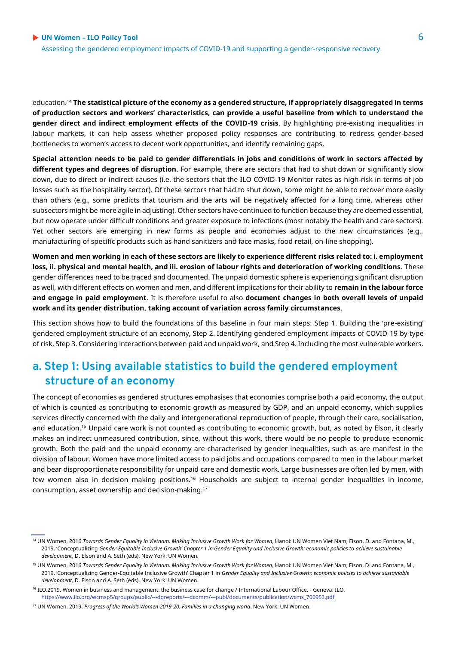education.<sup>14</sup> **The statistical picture of the economy as a gendered structure, if appropriately disaggregated in terms of production sectors and workers' characteristics, can provide a useful baseline from which to understand the gender direct and indirect employment effects of the COVID-19 crisis**. By highlighting pre-existing inequalities in labour markets, it can help assess whether proposed policy responses are contributing to redress gender-based bottlenecks to women's access to decent work opportunities, and identify remaining gaps.

**Special attention needs to be paid to gender differentials in jobs and conditions of work in sectors affected by different types and degrees of disruption**. For example, there are sectors that had to shut down or significantly slow down, due to direct or indirect causes (i.e. the sectors that the ILO COVID-19 Monitor rates as high-risk in terms of job losses such as the hospitality sector). Of these sectors that had to shut down, some might be able to recover more easily than others (e.g., some predicts that tourism and the arts will be negatively affected for a long time, whereas other subsectors might be more agile in adjusting). Other sectors have continued to function because they are deemed essential, but now operate under difficult conditions and greater exposure to infections (most notably the health and care sectors). Yet other sectors are emerging in new forms as people and economies adjust to the new circumstances (e.g., manufacturing of specific products such as hand sanitizers and face masks, food retail, on-line shopping).

**Women and men working in each of these sectors are likely to experience different risks related to: i. employment loss, ii. physical and mental health, and iii. erosion of labour rights and deterioration of working conditions**. These gender differences need to be traced and documented. The unpaid domestic sphere is experiencing significant disruption as well, with different effects on women and men, and different implications for their ability to **remain in the labour force and engage in paid employment**. It is therefore useful to also **document changes in both overall levels of unpaid work and its gender distribution, taking account of variation across family circumstances**.

This section shows how to build the foundations of this baseline in four main steps: Step 1. Building the 'pre-existing' gendered employment structure of an economy, Step 2. Identifying gendered employment impacts of COVID-19 by type of risk, Step 3. Considering interactions between paid and unpaid work, and Step 4. Including the most vulnerable workers.

# **a. Step 1: Using available statistics to build the gendered employment structure of an economy**

The concept of economies as gendered structures emphasises that economies comprise both a paid economy, the output of which is counted as contributing to economic growth as measured by GDP, and an unpaid economy, which supplies services directly concerned with the daily and intergenerational reproduction of people, through their care, socialisation, and education.<sup>15</sup> Unpaid care work is not counted as contributing to economic growth, but, as noted by Elson, it clearly makes an indirect unmeasured contribution, since, without this work, there would be no people to produce economic growth. Both the paid and the unpaid economy are characterised by gender inequalities, such as are manifest in the division of labour. Women have more limited access to paid jobs and occupations compared to men in the labour market and bear disproportionate responsibility for unpaid care and domestic work. Large businesses are often led by men, with few women also in decision making positions.<sup>16</sup> Households are subject to internal gender inequalities in income, consumption, asset ownership and decision-making.<sup>17</sup>

<sup>&</sup>lt;sup>14</sup> UN Women, 2016.*Towards Gender Equality in Vietnam. Making Inclusive Growth Work for Women*, Hanoi: UN Women Viet Nam; Elson, D. and Fontana, M., 2019. 'Conceptualizing *Gender-Equitable Inclusive Growth' Chapter 1 in Gender Equality and Inclusive Growth: economic policies to achieve sustainable development*, D. Elson and A. Seth (eds). New York: UN Women.

<sup>&</sup>lt;sup>15</sup> UN Women, 2016.*Towards Gender Equality in Vietnam. Making Inclusive Growth Work for Women, Hanoi: UN Women Viet Nam; Elson, D. and Fontana, M.,* 2019. 'Conceptualizing Gender-Equitable Inclusive Growth' Chapter 1 in *Gender Equality and Inclusive Growth: economic policies to achieve sustainable development,* D. Elson and A. Seth (eds). New York: UN Women.

<sup>16</sup> ILO.2019. Women in business and management: the business case for change / International Labour Office. - Geneva: ILO. [https://www.ilo.org/wcmsp5/groups/public/---dgreports/---dcomm/---publ/documents/publication/wcms\\_700953.pdf](https://www.ilo.org/wcmsp5/groups/public/---dgreports/---dcomm/---publ/documents/publication/wcms_700953.pdf)

<sup>17</sup> UN Women. 2019. *Progress of the World's Women 2019-20: Families in a changing world*. New York: UN Women.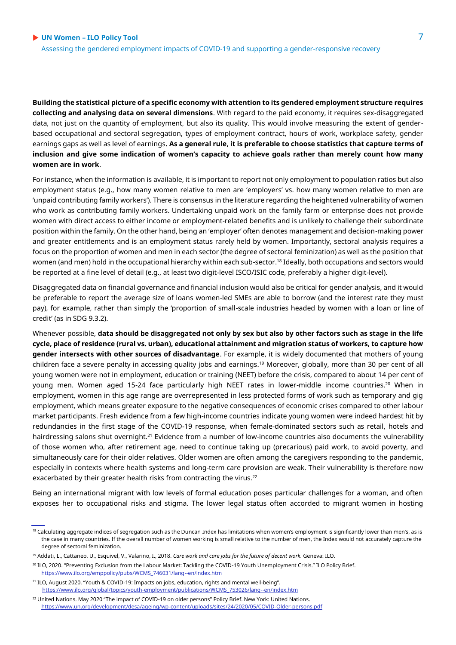**Building the statistical picture of a specific economy with attention to its gendered employment structure requires collecting and analysing data on several dimensions**. With regard to the paid economy, it requires sex-disaggregated data, not just on the quantity of employment, but also its quality. This would involve measuring the extent of genderbased occupational and sectoral segregation, types of employment contract, hours of work, workplace safety, gender earnings gaps as well as level of earnings**. As a general rule, it is preferable to choose statistics that capture terms of inclusion and give some indication of women's capacity to achieve goals rather than merely count how many women are in work**.

For instance, when the information is available, it is important to report not only employment to population ratios but also employment status (e.g., how many women relative to men are 'employers' vs. how many women relative to men are 'unpaid contributing family workers'). There is consensus in the literature regarding the heightened vulnerability of women who work as contributing family workers. Undertaking unpaid work on the family farm or enterprise does not provide women with direct access to either income or employment-related benefits and is unlikely to challenge their subordinate position within the family. On the other hand, being an 'employer' often denotes management and decision-making power and greater entitlements and is an employment status rarely held by women. Importantly, sectoral analysis requires a focus on the proportion of women and men in each sector (the degree of sectoral feminization) as well as the position that women (and men) hold in the occupational hierarchy within each sub-sector.<sup>18</sup> Ideally, both occupations and sectors would be reported at a fine level of detail (e.g., at least two digit-level ISCO/ISIC code, preferably a higher digit-level).

Disaggregated data on financial governance and financial inclusion would also be critical for gender analysis, and it would be preferable to report the average size of loans women-led SMEs are able to borrow (and the interest rate they must pay), for example, rather than simply the 'proportion of small-scale industries headed by women with a loan or line of credit' (as in SDG 9.3.2).

Whenever possible, **data should be disaggregated not only by sex but also by other factors such as stage in the life cycle, place of residence (rural vs. urban), educational attainment and migration status of workers, to capture how gender intersects with other sources of disadvantage**. For example, it is widely documented that mothers of young children face a severe penalty in accessing quality jobs and earnings.<sup>19</sup> Moreover, globally, more than 30 per cent of all young women were not in employment, education or training (NEET) before the crisis, compared to about 14 per cent of young men. Women aged 15-24 face particularly high NEET rates in lower-middle income countries.<sup>20</sup> When in employment, women in this age range are overrepresented in less protected forms of work such as temporary and gig employment, which means greater exposure to the negative consequences of economic crises compared to other labour market participants. Fresh evidence from a few high-income countries indicate young women were indeed hardest hit by redundancies in the first stage of the COVID-19 response, when female-dominated sectors such as retail, hotels and hairdressing salons shut overnight.<sup>21</sup> Evidence from a number of low-income countries also documents the vulnerability of those women who, after retirement age, need to continue taking up (precarious) paid work, to avoid poverty, and simultaneously care for their older relatives. Older women are often among the caregivers responding to the pandemic, especially in contexts where health systems and long-term care provision are weak. Their vulnerability is therefore now exacerbated by their greater health risks from contracting the virus.<sup>22</sup>

Being an international migrant with low levels of formal education poses particular challenges for a woman, and often exposes her to occupational risks and stigma. The lower legal status often accorded to migrant women in hosting

<sup>&</sup>lt;sup>18</sup> Calculating aggregate indices of segregation such as the Duncan Index has limitations when women's employment is significantly lower than men's, as is the case in many countries. If the overall number of women working is small relative to the number of men, the Index would not accurately capture the degree of sectoral feminization.

<sup>19</sup> Addati, L., Cattaneo, U., Esquivel, V., Valarino, I., 2018. *Care work and care jobs for the future of decent work*. Geneva: ILO.

<sup>&</sup>lt;sup>20</sup> ILO, 2020. "Preventing Exclusion from the Labour Market: Tackling the COVID-19 Youth Unemployment Crisis." ILO Policy Brief. [https://www.ilo.org/emppolicy/pubs/WCMS\\_746031/lang--en/index.htm](https://www.ilo.org/emppolicy/pubs/WCMS_746031/lang--en/index.htm)

<sup>21</sup> ILO, August 2020. "Youth & COVID-19: Impacts on jobs, education, rights and mental well-being". [https://www.ilo.org/global/topics/youth-employment/publications/WCMS\\_753026/lang--en/index.htm](https://www.ilo.org/global/topics/youth-employment/publications/WCMS_753026/lang--en/index.htm)

<sup>&</sup>lt;sup>22</sup> United Nations. May 2020 "The impact of COVID-19 on older persons" Policy Brief. New York: United Nations. <https://www.un.org/development/desa/ageing/wp-content/uploads/sites/24/2020/05/COVID-Older-persons.pdf>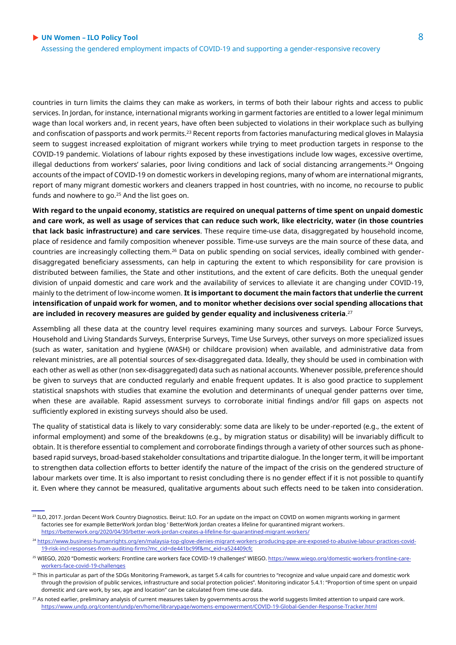Assessing the gendered employment impacts of COVID-19 and supporting a gender-responsive recovery

countries in turn limits the claims they can make as workers, in terms of both their labour rights and access to public services. In Jordan, for instance, international migrants working in garment factories are entitled to a lower legal minimum wage than local workers and, in recent years, have often been subjected to violations in their workplace such as bullying and confiscation of passports and work permits.<sup>23</sup> Recent reports from factories manufacturing medical gloves in Malaysia seem to suggest increased exploitation of migrant workers while trying to meet production targets in response to the COVID-19 pandemic. Violations of labour rights exposed by these investigations include low wages, excessive overtime, illegal deductions from workers' salaries, poor living conditions and lack of social distancing arrangements.<sup>24</sup> Ongoing accounts of the impact of COVID-19 on domestic workers in developing regions, many of whom are international migrants, report of many migrant domestic workers and cleaners trapped in host countries, with no income, no recourse to public funds and nowhere to go.<sup>25</sup> And the list goes on.

**With regard to the unpaid economy, statistics are required on unequal patterns of time spent on unpaid domestic and care work, as well as usage of services that can reduce such work, like electricity, water (in those countries that lack basic infrastructure) and care services**. These require time-use data, disaggregated by household income, place of residence and family composition whenever possible. Time-use surveys are the main source of these data, and countries are increasingly collecting them.<sup>26</sup> Data on public spending on social services, ideally combined with genderdisaggregated beneficiary assessments, can help in capturing the extent to which responsibility for care provision is distributed between families, the State and other institutions, and the extent of care deficits. Both the unequal gender division of unpaid domestic and care work and the availability of services to alleviate it are changing under COVID-19, mainly to the detriment of low-income women. **It is important to document the main factors that underlie the current intensification of unpaid work for women, and to monitor whether decisions over social spending allocations that are included in recovery measures are guided by gender equality and inclusiveness criteria**. 27

Assembling all these data at the country level requires examining many sources and surveys. Labour Force Surveys, Household and Living Standards Surveys, Enterprise Surveys, Time Use Surveys, other surveys on more specialized issues (such as water, sanitation and hygiene (WASH) or childcare provision) when available, and administrative data from relevant ministries, are all potential sources of sex-disaggregated data. Ideally, they should be used in combination with each other as well as other (non sex-disaggregated) data such as national accounts. Whenever possible, preference should be given to surveys that are conducted regularly and enable frequent updates. It is also good practice to supplement statistical snapshots with studies that examine the evolution and determinants of unequal gender patterns over time, when these are available. Rapid assessment surveys to corroborate initial findings and/or fill gaps on aspects not sufficiently explored in existing surveys should also be used.

The quality of statistical data is likely to vary considerably: some data are likely to be under-reported (e.g., the extent of informal employment) and some of the breakdowns (e.g., by migration status or disability) will be invariably difficult to obtain. It is therefore essential to complement and corroborate findings through a variety of other sources such as phonebased rapid surveys, broad-based stakeholder consultations and tripartite dialogue. In the longer term, it will be important to strengthen data collection efforts to better identify the nature of the impact of the crisis on the gendered structure of labour markets over time. It is also important to resist concluding there is no gender effect if it is not possible to quantify it. Even where they cannot be measured, qualitative arguments about such effects need to be taken into consideration.

<sup>&</sup>lt;sup>23</sup> ILO, 2017. Jordan Decent Work Country Diagnostics. Beirut: ILO. For an update on the impact on COVID on women migrants working in garment factories see for example BetterWork Jordan blog ' BetterWork Jordan creates a lifeline for quarantined migrant workers. <https://betterwork.org/2020/04/30/better-work-jordan-creates-a-lifeline-for-quarantined-migrant-workers/>

<sup>24</sup> [https://www.business-humanrights.org/en/malaysia-top-glove-denies-migrant-workers-producing-ppe-are-exposed-to-abusive-labour-practices-covid-](https://www.business-humanrights.org/en/malaysia-top-glove-denies-migrant-workers-producing-ppe-are-exposed-to-abusive-labour-practices-covid-19-risk-incl-responses-from-auditing-firms?mc_cid=de441bc99f&mc_eid=a524409cfc)[19-risk-incl-responses-from-auditing-firms?mc\\_cid=de441bc99f&mc\\_eid=a524409cfc](https://www.business-humanrights.org/en/malaysia-top-glove-denies-migrant-workers-producing-ppe-are-exposed-to-abusive-labour-practices-covid-19-risk-incl-responses-from-auditing-firms?mc_cid=de441bc99f&mc_eid=a524409cfc)

<sup>&</sup>lt;sup>25</sup> WIEGO, 2020 "Domestic workers: Frontline care workers face COVID-19 challenges" WIEGO. [https://www.wiego.org/domestic-workers-frontline-care](https://www.wiego.org/domestic-workers-frontline-care-workers-face-covid-19-challenges)[workers-face-covid-19-challenges](https://www.wiego.org/domestic-workers-frontline-care-workers-face-covid-19-challenges)

<sup>&</sup>lt;sup>26</sup> This in particular as part of the SDGs Monitoring Framework, as target 5.4 calls for countries to "recognize and value unpaid care and domestic work through the provision of public services, infrastructure and social protection policies". Monitoring indicator 5.4.1: "Proportion of time spent on unpaid domestic and care work, by sex, age and location" can be calculated from time-use data.

 $27$  As noted earlier, preliminary analysis of current measures taken by governments across the world suggests limited attention to unpaid care work. <https://www.undp.org/content/undp/en/home/librarypage/womens-empowerment/COVID-19-Global-Gender-Response-Tracker.html>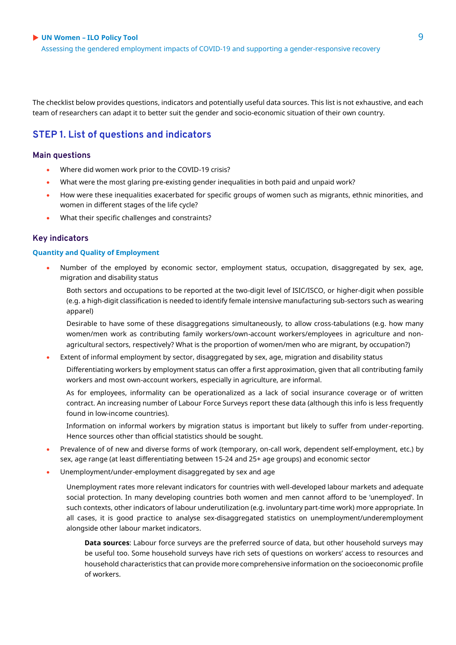Assessing the gendered employment impacts of COVID-19 and supporting a gender-responsive recovery

The checklist below provides questions, indicators and potentially useful data sources. This list is not exhaustive, and each team of researchers can adapt it to better suit the gender and socio-economic situation of their own country.

#### **STEP 1. List of questions and indicators**

#### **Main questions**

- Where did women work prior to the COVID-19 crisis?
- What were the most glaring pre-existing gender inequalities in both paid and unpaid work?
- How were these inequalities exacerbated for specific groups of women such as migrants, ethnic minorities, and women in different stages of the life cycle?
- What their specific challenges and constraints?

#### **Key indicators**

#### **Quantity and Quality of Employment**

- Number of the employed by economic sector, employment status, occupation, disaggregated by sex, age, migration and disability status
	- Both sectors and occupations to be reported at the two-digit level of ISIC/ISCO, or higher-digit when possible (e.g. a high-digit classification is needed to identify female intensive manufacturing sub-sectors such as wearing apparel)
	- Desirable to have some of these disaggregations simultaneously, to allow cross-tabulations (e.g. how many women/men work as contributing family workers/own-account workers/employees in agriculture and nonagricultural sectors, respectively? What is the proportion of women/men who are migrant, by occupation?)
- Extent of informal employment by sector, disaggregated by sex, age, migration and disability status

Differentiating workers by employment status can offer a first approximation, given that all contributing family workers and most own-account workers, especially in agriculture, are informal.

As for employees, informality can be operationalized as a lack of social insurance coverage or of written contract. An increasing number of Labour Force Surveys report these data (although this info is less frequently found in low-income countries).

Information on informal workers by migration status is important but likely to suffer from under-reporting. Hence sources other than official statistics should be sought.

- Prevalence of of new and diverse forms of work (temporary, on-call work, dependent self-employment, etc.) by sex, age range (at least differentiating between 15-24 and 25+ age groups) and economic sector
- Unemployment/under-employment disaggregated by sex and age

Unemployment rates more relevant indicators for countries with well-developed labour markets and adequate social protection. In many developing countries both women and men cannot afford to be 'unemployed'. In such contexts, other indicators of labour underutilization (e.g. involuntary part-time work) more appropriate. In all cases, it is good practice to analyse sex-disaggregated statistics on unemployment/underemployment alongside other labour market indicators.

**Data sources**: Labour force surveys are the preferred source of data, but other household surveys may be useful too. Some household surveys have rich sets of questions on workers' access to resources and household characteristics that can provide more comprehensive information on the socioeconomic profile of workers.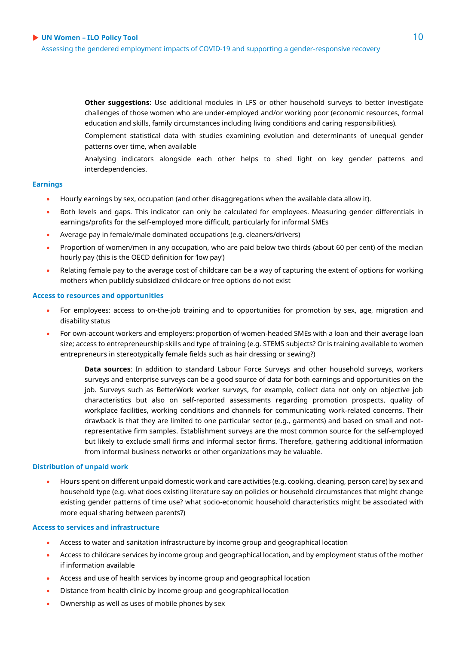Assessing the gendered employment impacts of COVID-19 and supporting a gender-responsive recovery

**Other suggestions**: Use additional modules in LFS or other household surveys to better investigate challenges of those women who are under-employed and/or working poor (economic resources, formal education and skills, family circumstances including living conditions and caring responsibilities).

Complement statistical data with studies examining evolution and determinants of unequal gender patterns over time, when available

Analysing indicators alongside each other helps to shed light on key gender patterns and interdependencies.

#### **Earnings**

- Hourly earnings by sex, occupation (and other disaggregations when the available data allow it).
- Both levels and gaps. This indicator can only be calculated for employees. Measuring gender differentials in earnings/profits for the self-employed more difficult, particularly for informal SMEs
- Average pay in female/male dominated occupations (e.g. cleaners/drivers)
- Proportion of women/men in any occupation, who are paid below two thirds (about 60 per cent) of the median hourly pay (this is the OECD definition for 'low pay')
- Relating female pay to the average cost of childcare can be a way of capturing the extent of options for working mothers when publicly subsidized childcare or free options do not exist

#### **Access to resources and opportunities**

- For employees: access to on-the-job training and to opportunities for promotion by sex, age, migration and disability status
- For own-account workers and employers: proportion of women-headed SMEs with a loan and their average loan size; access to entrepreneurship skills and type of training (e.g. STEMS subjects? Or is training available to women entrepreneurs in stereotypically female fields such as hair dressing or sewing?)

**Data sources**: In addition to standard Labour Force Surveys and other household surveys, workers surveys and enterprise surveys can be a good source of data for both earnings and opportunities on the job. Surveys such as BetterWork worker surveys, for example, collect data not only on objective job characteristics but also on self-reported assessments regarding promotion prospects, quality of workplace facilities, working conditions and channels for communicating work-related concerns. Their drawback is that they are limited to one particular sector (e.g., garments) and based on small and notrepresentative firm samples. Establishment surveys are the most common source for the self-employed but likely to exclude small firms and informal sector firms. Therefore, gathering additional information from informal business networks or other organizations may be valuable.

#### **Distribution of unpaid work**

 Hours spent on different unpaid domestic work and care activities (e.g. cooking, cleaning, person care) by sex and household type (e.g. what does existing literature say on policies or household circumstances that might change existing gender patterns of time use? what socio-economic household characteristics might be associated with more equal sharing between parents?)

#### **Access to services and infrastructure**

- Access to water and sanitation infrastructure by income group and geographical location
- Access to childcare services by income group and geographical location, and by employment status of the mother if information available
- Access and use of health services by income group and geographical location
- Distance from health clinic by income group and geographical location
- Ownership as well as uses of mobile phones by sex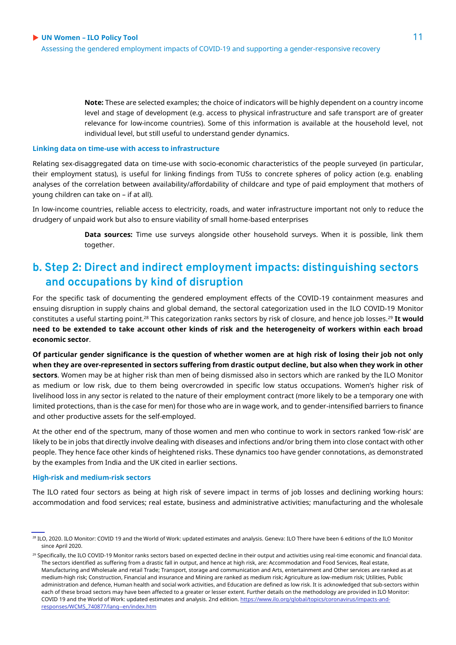**Note:** These are selected examples; the choice of indicators will be highly dependent on a country income level and stage of development (e.g. access to physical infrastructure and safe transport are of greater relevance for low-income countries). Some of this information is available at the household level, not individual level, but still useful to understand gender dynamics.

#### **Linking data on time-use with access to infrastructure**

Relating sex-disaggregated data on time-use with socio-economic characteristics of the people surveyed (in particular, their employment status), is useful for linking findings from TUSs to concrete spheres of policy action (e.g. enabling analyses of the correlation between availability/affordability of childcare and type of paid employment that mothers of young children can take on – if at all).

In low-income countries, reliable access to electricity, roads, and water infrastructure important not only to reduce the drudgery of unpaid work but also to ensure viability of small home-based enterprises

> **Data sources:** Time use surveys alongside other household surveys. When it is possible, link them together.

# **b. Step 2: Direct and indirect employment impacts: distinguishing sectors and occupations by kind of disruption**

For the specific task of documenting the gendered employment effects of the COVID-19 containment measures and ensuing disruption in supply chains and global demand, the sectoral categorization used in the ILO COVID-19 Monitor constitutes a useful starting point.<sup>28</sup> This categorization ranks sectors by risk of closure, and hence job losses.<sup>29</sup> **It would need to be extended to take account other kinds of risk and the heterogeneity of workers within each broad economic sector**.

**Of particular gender significance is the question of whether women are at high risk of losing their job not only when they are over-represented in sectors suffering from drastic output decline, but also when they work in other sectors**. Women may be at higher risk than men of being dismissed also in sectors which are ranked by the ILO Monitor as medium or low risk, due to them being overcrowded in specific low status occupations. Women's higher risk of livelihood loss in any sector is related to the nature of their employment contract (more likely to be a temporary one with limited protections, than is the case for men) for those who are in wage work, and to gender-intensified barriers to finance and other productive assets for the self-employed.

At the other end of the spectrum, many of those women and men who continue to work in sectors ranked 'low-risk' are likely to be in jobs that directly involve dealing with diseases and infections and/or bring them into close contact with other people. They hence face other kinds of heightened risks. These dynamics too have gender connotations, as demonstrated by the examples from India and the UK cited in earlier sections.

#### **High-risk and medium-risk sectors**

The ILO rated four sectors as being at high risk of severe impact in terms of job losses and declining working hours: accommodation and food services; real estate, business and administrative activities; manufacturing and the wholesale

<sup>28</sup> ILO, 2020. ILO Monitor: COVID 19 and the World of Work: updated estimates and analysis. Geneva: ILO There have been 6 editions of the ILO Monitor since April 2020.

<sup>&</sup>lt;sup>29</sup> Specifically, the ILO COVID-19 Monitor ranks sectors based on expected decline in their output and activities using real-time economic and financial data. The sectors identified as suffering from a drastic fall in output, and hence at high risk, are: Accommodation and Food Services, Real estate, Manufacturing and Wholesale and retail Trade; Transport, storage and communication and Arts, entertainment and Other services are ranked as at medium-high risk; Construction, Financial and insurance and Mining are ranked as medium risk; Agriculture as low-medium risk; Utilities, Public administration and defence, Human health and social work activities, and Education are defined as low risk. It is acknowledged that sub-sectors within each of these broad sectors may have been affected to a greater or lesser extent. Further details on the methodology are provided in ILO Monitor: COVID 19 and the World of Work: updated estimates and analysis. 2nd edition[. https://www.ilo.org/global/topics/coronavirus/impacts-and](https://www.ilo.org/global/topics/coronavirus/impacts-and-responses/WCMS_740877/lang--en/index.htm)[responses/WCMS\\_740877/lang--en/index.htm](https://www.ilo.org/global/topics/coronavirus/impacts-and-responses/WCMS_740877/lang--en/index.htm)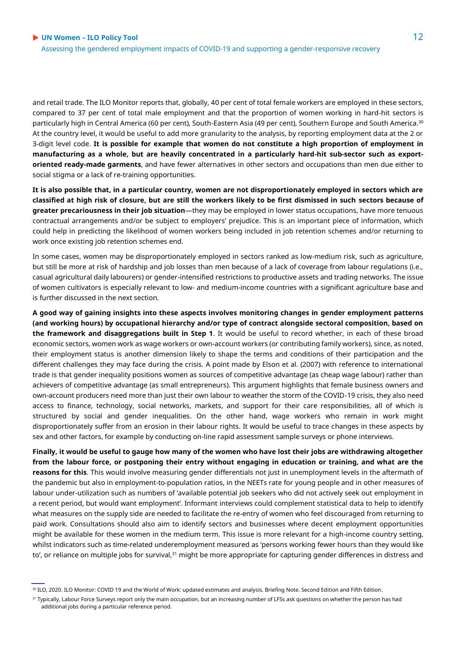and retail trade. The ILO Monitor reports that, globally, 40 per cent of total female workers are employed in these sectors, compared to 37 per cent of total male employment and that the proportion of women working in hard-hit sectors is particularly high in Central America (60 per cent), South-Eastern Asia (49 per cent), Southern Europe and South America.<sup>30</sup> At the country level, it would be useful to add more granularity to the analysis, by reporting employment data at the 2 or 3-digit level code. **It is possible for example that women do not constitute a high proportion of employment in manufacturing as a whole, but are heavily concentrated in a particularly hard-hit sub-sector such as exportoriented ready-made garments**, and have fewer alternatives in other sectors and occupations than men due either to social stigma or a lack of re-training opportunities.

**It is also possible that, in a particular country, women are not disproportionately employed in sectors which are classified at high risk of closure, but are still the workers likely to be first dismissed in such sectors because of greater precariousness in their job situation**—they may be employed in lower status occupations, have more tenuous contractual arrangements and/or be subject to employers' prejudice. This is an important piece of information, which could help in predicting the likelihood of women workers being included in job retention schemes and/or returning to work once existing job retention schemes end.

In some cases, women may be disproportionately employed in sectors ranked as low-medium risk, such as agriculture, but still be more at risk of hardship and job losses than men because of a lack of coverage from labour regulations (i.e., casual agricultural daily labourers) or gender-intensified restrictions to productive assets and trading networks. The issue of women cultivators is especially relevant to low- and medium-income countries with a significant agriculture base and is further discussed in the next section.

**A good way of gaining insights into these aspects involves monitoring changes in gender employment patterns (and working hours) by occupational hierarchy and/or type of contract alongside sectoral composition, based on the framework and disaggregations built in Step 1**. It would be useful to record whether, in each of these broad economic sectors, women work as wage workers or own-account workers (or contributing family workers), since, as noted, their employment status is another dimension likely to shape the terms and conditions of their participation and the different challenges they may face during the crisis. A point made by Elson et al. (2007) with reference to international trade is that gender inequality positions women as sources of competitive advantage (as cheap wage labour) rather than achievers of competitive advantage (as small entrepreneurs). This argument highlights that female business owners and own-account producers need more than just their own labour to weather the storm of the COVID-19 crisis, they also need access to finance, technology, social networks, markets, and support for their care responsibilities, all of which is structured by social and gender inequalities. On the other hand, wage workers who remain in work might disproportionately suffer from an erosion in their labour rights. It would be useful to trace changes in these aspects by sex and other factors, for example by conducting on-line rapid assessment sample surveys or phone interviews.

**Finally, it would be useful to gauge how many of the women who have lost their jobs are withdrawing altogether from the labour force, or postponing their entry without engaging in education or training, and what are the reasons for this**. This would involve measuring gender differentials not just in unemployment levels in the aftermath of the pandemic but also in employment-to-population ratios, in the NEETs rate for young people and in other measures of labour under-utilization such as numbers of 'available potential job seekers who did not actively seek out employment in a recent period, but would want employment'. Informant interviews could complement statistical data to help to identify what measures on the supply side are needed to facilitate the re-entry of women who feel discouraged from returning to paid work. Consultations should also aim to identify sectors and businesses where decent employment opportunities might be available for these women in the medium term. This issue is more relevant for a high-income country setting, whilst indicators such as time-related underemployment measured as 'persons working fewer hours than they would like to', or reliance on multiple jobs for survival,<sup>31</sup> might be more appropriate for capturing gender differences in distress and

<sup>30</sup> ILO, 2020. ILO Monitor: COVID 19 and the World of Work: updated estimates and analysis. Briefing Note. Second Edition and Fifth Edition.

<sup>31</sup> Typically, Labour Force Surveys report only the main occupation, but an increasing number of LFSs ask questions on whether the person has had additional jobs during a particular reference period.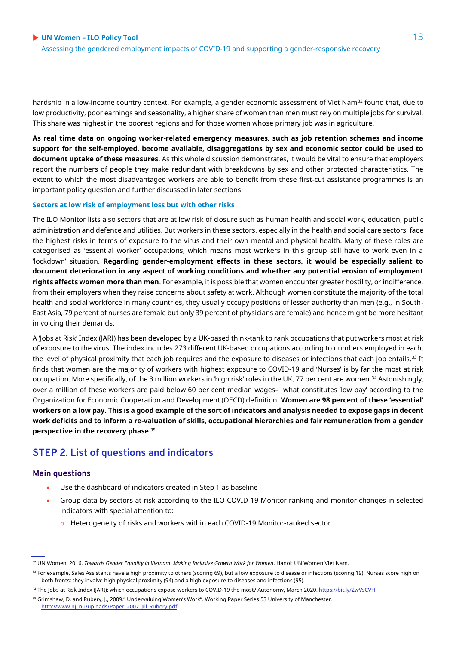Assessing the gendered employment impacts of COVID-19 and supporting a gender-responsive recovery

hardship in a low-income country context. For example, a gender economic assessment of Viet Nam<sup>32</sup> found that, due to low productivity, poor earnings and seasonality, a higher share of women than men must rely on multiple jobs for survival. This share was highest in the poorest regions and for those women whose primary job was in agriculture.

**As real time data on ongoing worker-related emergency measures, such as job retention schemes and income support for the self-employed, become available, disaggregations by sex and economic sector could be used to document uptake of these measures**. As this whole discussion demonstrates, it would be vital to ensure that employers report the numbers of people they make redundant with breakdowns by sex and other protected characteristics. The extent to which the most disadvantaged workers are able to benefit from these first-cut assistance programmes is an important policy question and further discussed in later sections.

#### **Sectors at low risk of employment loss but with other risks**

The ILO Monitor lists also sectors that are at low risk of closure such as human health and social work, education, public administration and defence and utilities. But workers in these sectors, especially in the health and social care sectors, face the highest risks in terms of exposure to the virus and their own mental and physical health. Many of these roles are categorised as 'essential worker' occupations, which means most workers in this group still have to work even in a 'lockdown' situation. **Regarding gender-employment effects in these sectors, it would be especially salient to document deterioration in any aspect of working conditions and whether any potential erosion of employment rights affects women more than men**. For example, it is possible that women encounter greater hostility, or indifference, from their employers when they raise concerns about safety at work. Although women constitute the majority of the total health and social workforce in many countries, they usually occupy positions of lesser authority than men (e.g., in South-East Asia, 79 percent of nurses are female but only 39 percent of physicians are female) and hence might be more hesitant in voicing their demands.

A 'Jobs at Risk' Index (JARI) has been developed by a UK-based think-tank to rank occupations that put workers most at risk of exposure to the virus. The index includes 273 different UK-based occupations according to numbers employed in each, the level of physical proximity that each job requires and the exposure to diseases or infections that each job entails.<sup>33</sup> It finds that women are the majority of workers with highest exposure to COVID-19 and 'Nurses' is by far the most at risk occupation. More specifically, of the 3 million workers in 'high risk' roles in the UK, 77 per cent are women.<sup>34</sup> Astonishingly, over a million of these workers are paid below 60 per cent median wages– what constitutes 'low pay' according to the Organization for Economic Cooperation and Development (OECD) definition. **Women are 98 percent of these 'essential' workers on a low pay. This is a good example of the sort of indicators and analysis needed to expose gaps in decent work deficits and to inform a re-valuation of skills, occupational hierarchies and fair remuneration from a gender perspective in the recovery phase**. 35

#### **STEP 2. List of questions and indicators**

#### **Main questions**

- Use the dashboard of indicators created in Step 1 as baseline
- Group data by sectors at risk according to the ILO COVID-19 Monitor ranking and monitor changes in selected indicators with special attention to:
	- o Heterogeneity of risks and workers within each COVID-19 Monitor-ranked sector

<sup>32</sup> UN Women, 2016. *Towards Gender Equality in Vietnam. Making Inclusive Growth Work for Women*, Hanoi: UN Women Viet Nam.

<sup>33</sup> For example, Sales Assistants have a high proximity to others (scoring 69), but a low exposure to disease or infections (scoring 19). Nurses score high on both fronts: they involve high physical proximity (94) and a high exposure to diseases and infections (95).

<sup>&</sup>lt;sup>34</sup> The Jobs at Risk Index (JARI): which occupations expose workers to COVID-19 the most? Autonomy, March 2020. <https://bit.ly/2wVsCVH> <sup>35</sup> Grimshaw, D. and Rubery, J., 2009." Undervaluing Women's Work". Working Paper Series 53 University of Manchester. [http://www.njl.nu/uploads/Paper\\_2007\\_Jill\\_Rubery.pdf](http://www.njl.nu/uploads/Paper_2007_Jill_Rubery.pdf)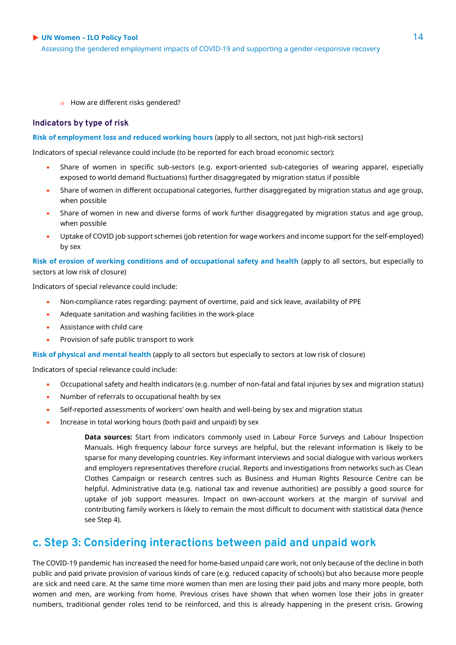Assessing the gendered employment impacts of COVID-19 and supporting a gender-responsive recovery

o How are different risks gendered?

#### **Indicators by type of risk**

#### **Risk of employment loss and reduced working hours** (apply to all sectors, not just high-risk sectors)

Indicators of special relevance could include (to be reported for each broad economic sector):

- Share of women in specific sub-sectors (e.g. export-oriented sub-categories of wearing apparel, especially exposed to world demand fluctuations) further disaggregated by migration status if possible
- Share of women in different occupational categories, further disaggregated by migration status and age group, when possible
- Share of women in new and diverse forms of work further disaggregated by migration status and age group, when possible
- Uptake of COVID job support schemes (job retention for wage workers and income support for the self-employed) by sex

**Risk of erosion of working conditions and of occupational safety and health** (apply to all sectors, but especially to sectors at low risk of closure)

Indicators of special relevance could include:

- Non-compliance rates regarding: payment of overtime, paid and sick leave, availability of PPE
- Adequate sanitation and washing facilities in the work-place
- Assistance with child care
- Provision of safe public transport to work

**Risk of physical and mental health** (apply to all sectors but especially to sectors at low risk of closure)

Indicators of special relevance could include:

- Occupational safety and health indicators (e.g. number of non-fatal and fatal injuries by sex and migration status)
- Number of referrals to occupational health by sex
- Self-reported assessments of workers' own health and well-being by sex and migration status
- Increase in total working hours (both paid and unpaid) by sex

**Data sources:** Start from indicators commonly used in Labour Force Surveys and Labour Inspection Manuals. High frequency labour force surveys are helpful, but the relevant information is likely to be sparse for many developing countries. Key informant interviews and social dialogue with various workers and employers representatives therefore crucial. Reports and investigations from networks such as Clean Clothes Campaign or research centres such as Business and Human Rights Resource Centre can be helpful. Administrative data (e.g. national tax and revenue authorities) are possibly a good source for uptake of job support measures. Impact on own-account workers at the margin of survival and contributing family workers is likely to remain the most difficult to document with statistical data (hence see Step 4).

### **c. Step 3: Considering interactions between paid and unpaid work**

The COVID-19 pandemic has increased the need for home-based unpaid care work, not only because of the decline in both public and paid private provision of various kinds of care (e.g. reduced capacity of schools) but also because more people are sick and need care. At the same time more women than men are losing their paid jobs and many more people, both women and men, are working from home. Previous crises have shown that when women lose their jobs in greater numbers, traditional gender roles tend to be reinforced, and this is already happening in the present crisis. Growing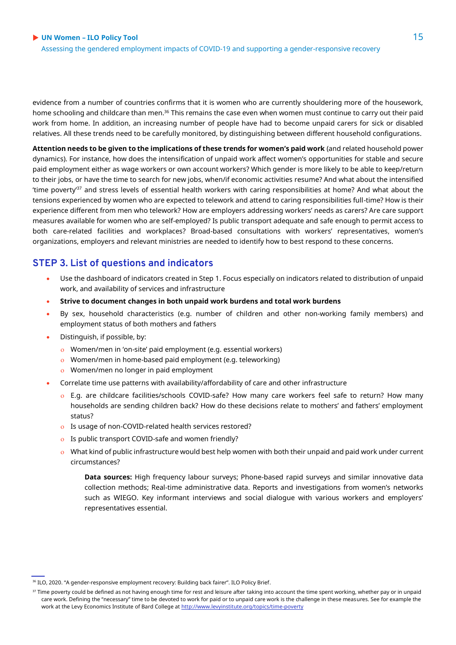Assessing the gendered employment impacts of COVID-19 and supporting a gender-responsive recovery

evidence from a number of countries confirms that it is women who are currently shouldering more of the housework, home schooling and childcare than men.<sup>36</sup> This remains the case even when women must continue to carry out their paid work from home. In addition, an increasing number of people have had to become unpaid carers for sick or disabled relatives. All these trends need to be carefully monitored, by distinguishing between different household configurations.

**Attention needs to be given to the implications of these trends for women's paid work** (and related household power dynamics). For instance, how does the intensification of unpaid work affect women's opportunities for stable and secure paid employment either as wage workers or own account workers? Which gender is more likely to be able to keep/return to their jobs, or have the time to search for new jobs, when/if economic activities resume? And what about the intensified 'time poverty'<sup>37</sup> and stress levels of essential health workers with caring responsibilities at home? And what about the tensions experienced by women who are expected to telework and attend to caring responsibilities full-time? How is their experience different from men who telework? How are employers addressing workers' needs as carers? Are care support measures available for women who are self-employed? Is public transport adequate and safe enough to permit access to both care-related facilities and workplaces? Broad-based consultations with workers' representatives, women's organizations, employers and relevant ministries are needed to identify how to best respond to these concerns.

### **STEP 3. List of questions and indicators**

- Use the dashboard of indicators created in Step 1. Focus especially on indicators related to distribution of unpaid work, and availability of services and infrastructure
- **Strive to document changes in both unpaid work burdens and total work burdens**
- By sex, household characteristics (e.g. number of children and other non-working family members) and employment status of both mothers and fathers
- Distinguish, if possible, by:
	- Women/men in 'on-site' paid employment (e.g. essential workers)
	- Women/men in home-based paid employment (e.g. teleworking)
	- Women/men no longer in paid employment
- Correlate time use patterns with availability/affordability of care and other infrastructure
	- E.g. are childcare facilities/schools COVID-safe? How many care workers feel safe to return? How many households are sending children back? How do these decisions relate to mothers' and fathers' employment status?
	- Is usage of non-COVID-related health services restored?
	- o Is public transport COVID-safe and women friendly?
	- What kind of public infrastructure would best help women with both their unpaid and paid work under current circumstances?

**Data sources:** High frequency labour surveys; Phone-based rapid surveys and similar innovative data collection methods; Real-time administrative data. Reports and investigations from women's networks such as WIEGO. Key informant interviews and social dialogue with various workers and employers' representatives essential.

<sup>&</sup>lt;sup>36</sup> ILO, 2020. "A gender-responsive employment recovery: Building back fairer". ILO Policy Brief.

<sup>&</sup>lt;sup>37</sup> Time poverty could be defined as not having enough time for rest and leisure after taking into account the time spent working, whether pay or in unpaid care work. Defining the "necessary" time to be devoted to work for paid or to unpaid care work is the challenge in these measures. See for example the work at the Levy Economics Institute of Bard College a[t http://www.levyinstitute.org/topics/time-poverty](http://www.levyinstitute.org/topics/time-poverty)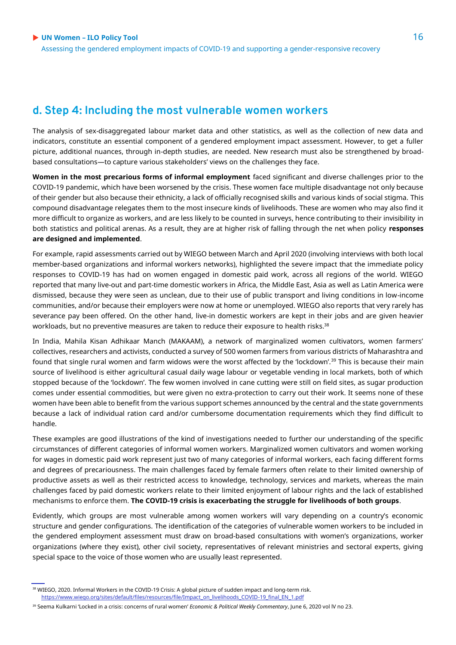# **d. Step 4: Including the most vulnerable women workers**

The analysis of sex-disaggregated labour market data and other statistics, as well as the collection of new data and indicators, constitute an essential component of a gendered employment impact assessment. However, to get a fuller picture, additional nuances, through in-depth studies, are needed. New research must also be strengthened by broadbased consultations—to capture various stakeholders' views on the challenges they face.

**Women in the most precarious forms of informal employment** faced significant and diverse challenges prior to the COVID-19 pandemic, which have been worsened by the crisis. These women face multiple disadvantage not only because of their gender but also because their ethnicity, a lack of officially recognised skills and various kinds of social stigma. This compound disadvantage relegates them to the most insecure kinds of livelihoods. These are women who may also find it more difficult to organize as workers, and are less likely to be counted in surveys, hence contributing to their invisibility in both statistics and political arenas. As a result, they are at higher risk of falling through the net when policy **responses are designed and implemented**.

For example, rapid assessments carried out by WIEGO between March and April 2020 (involving interviews with both local member-based organizations and informal workers networks), highlighted the severe impact that the immediate policy responses to COVID-19 has had on women engaged in domestic paid work, across all regions of the world. WIEGO reported that many live-out and part-time domestic workers in Africa, the Middle East, Asia as well as Latin America were dismissed, because they were seen as unclean, due to their use of public transport and living conditions in low-income communities, and/or because their employers were now at home or unemployed. WIEGO also reports that very rarely has severance pay been offered. On the other hand, live-in domestic workers are kept in their jobs and are given heavier workloads, but no preventive measures are taken to reduce their exposure to health risks.<sup>38</sup>

In India, Mahila Kisan Adhikaar Manch (MAKAAM), a network of marginalized women cultivators, women farmers' collectives, researchers and activists, conducted a survey of 500 women farmers from various districts of Maharashtra and found that single rural women and farm widows were the worst affected by the 'lockdown'.<sup>39</sup> This is because their main source of livelihood is either agricultural casual daily wage labour or vegetable vending in local markets, both of which stopped because of the 'lockdown'. The few women involved in cane cutting were still on field sites, as sugar production comes under essential commodities, but were given no extra-protection to carry out their work. It seems none of these women have been able to benefit from the various support schemes announced by the central and the state governments because a lack of individual ration card and/or cumbersome documentation requirements which they find difficult to handle.

These examples are good illustrations of the kind of investigations needed to further our understanding of the specific circumstances of different categories of informal women workers. Marginalized women cultivators and women working for wages in domestic paid work represent just two of many categories of informal workers, each facing different forms and degrees of precariousness. The main challenges faced by female farmers often relate to their limited ownership of productive assets as well as their restricted access to knowledge, technology, services and markets, whereas the main challenges faced by paid domestic workers relate to their limited enjoyment of labour rights and the lack of established mechanisms to enforce them. **The COVID-19 crisis is exacerbating the struggle for livelihoods of both groups**.

Evidently, which groups are most vulnerable among women workers will vary depending on a country's economic structure and gender configurations. The identification of the categories of vulnerable women workers to be included in the gendered employment assessment must draw on broad-based consultations with women's organizations, worker organizations (where they exist), other civil society, representatives of relevant ministries and sectoral experts, giving special space to the voice of those women who are usually least represented.

<sup>&</sup>lt;sup>38</sup> WIEGO, 2020. Informal Workers in the COVID-19 Crisis: A global picture of sudden impact and long-term risk. [https://www.wiego.org/sites/default/files/resources/file/Impact\\_on\\_livelihoods\\_COVID-19\\_final\\_EN\\_1.pdf](https://www.wiego.org/sites/default/files/resources/file/Impact_on_livelihoods_COVID-19_final_EN_1.pdf)

<sup>39</sup> Seema Kulkarni 'Locked in a crisis: concerns of rural women' *Economic & Political Weekly Commentary*, June 6, 2020 vol lV no 23.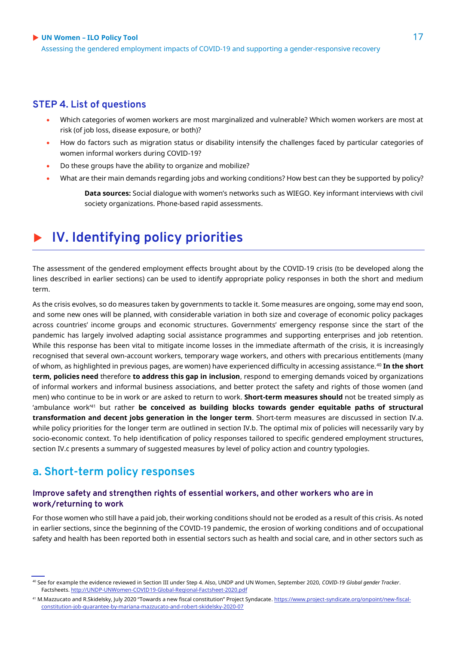Assessing the gendered employment impacts of COVID-19 and supporting a gender-responsive recovery

#### **STEP 4. List of questions**

- Which categories of women workers are most marginalized and vulnerable? Which women workers are most at risk (of job loss, disease exposure, or both)?
- How do factors such as migration status or disability intensify the challenges faced by particular categories of women informal workers during COVID-19?
- Do these groups have the ability to organize and mobilize?
- What are their main demands regarding jobs and working conditions? How best can they be supported by policy?

**Data sources:** Social dialogue with women's networks such as WIEGO. Key informant interviews with civil society organizations. Phone-based rapid assessments.

# **IV. Identifying policy priorities**

The assessment of the gendered employment effects brought about by the COVID-19 crisis (to be developed along the lines described in earlier sections) can be used to identify appropriate policy responses in both the short and medium term.

As the crisis evolves, so do measures taken by governments to tackle it. Some measures are ongoing, some may end soon, and some new ones will be planned, with considerable variation in both size and coverage of economic policy packages across countries' income groups and economic structures. Governments' emergency response since the start of the pandemic has largely involved adapting social assistance programmes and supporting enterprises and job retention. While this response has been vital to mitigate income losses in the immediate aftermath of the crisis, it is increasingly recognised that several own-account workers, temporary wage workers, and others with precarious entitlements (many of whom, as highlighted in previous pages, are women) have experienced difficulty in accessing assistance.<sup>40</sup> **In the short term, policies need** therefore **to address this gap in inclusion**, respond to emerging demands voiced by organizations of informal workers and informal business associations, and better protect the safety and rights of those women (and men) who continue to be in work or are asked to return to work. **Short-term measures should** not be treated simply as 'ambulance work'<sup>41</sup> but rather **be conceived as building blocks towards gender equitable paths of structural transformation and decent jobs generation in the longer term**. Short-term measures are discussed in section IV.a. while policy priorities for the longer term are outlined in section IV.b. The optimal mix of policies will necessarily vary by socio-economic context. To help identification of policy responses tailored to specific gendered employment structures, section IV.c presents a summary of suggested measures by level of policy action and country typologies.

### **a. Short-term policy responses**

#### **Improve safety and strengthen rights of essential workers, and other workers who are in work/returning to work**

For those women who still have a paid job, their working conditions should not be eroded as a result of this crisis. As noted in earlier sections, since the beginning of the COVID-19 pandemic, the erosion of working conditions and of occupational safety and health has been reported both in essential sectors such as health and social care, and in other sectors such as

<sup>40</sup> See for example the evidence reviewed in Section III under Step 4. Also, UNDP and UN Women, September 2020, *COVID-19 Global gender Tracker*. Factsheets[. http://UNDP-UNWomen-COVID19-Global-Regional-Factsheet-2020.pdf](http://undp-unwomen-covid19-global-regional-factsheet-2020.pdf/)

<sup>41</sup> M.Mazzucato and R.Skidelsky, July 2020 "Towards a new fiscal constitution" Project Syndacate. [https://www.project-syndicate.org/onpoint/new-fiscal](https://www.project-syndicate.org/onpoint/new-fiscal-constitution-job-guarantee-by-mariana-mazzucato-and-robert-skidelsky-2020-07)[constitution-job-guarantee-by-mariana-mazzucato-and-robert-skidelsky-2020-07](https://www.project-syndicate.org/onpoint/new-fiscal-constitution-job-guarantee-by-mariana-mazzucato-and-robert-skidelsky-2020-07)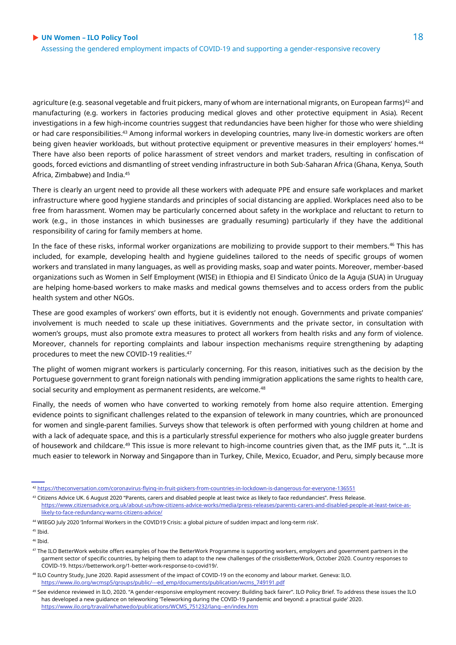agriculture (e.g. seasonal vegetable and fruit pickers, many of whom are international migrants, on European farms)<sup>42</sup> and manufacturing (e.g. workers in factories producing medical gloves and other protective equipment in Asia). Recent investigations in a few high-income countries suggest that redundancies have been higher for those who were shielding or had care responsibilities.<sup>43</sup> Among informal workers in developing countries, many live-in domestic workers are often being given heavier workloads, but without protective equipment or preventive measures in their employers' homes.<sup>44</sup> There have also been reports of police harassment of street vendors and market traders, resulting in confiscation of goods, forced evictions and dismantling of street vending infrastructure in both Sub-Saharan Africa (Ghana, Kenya, South Africa, Zimbabwe) and India.<sup>45</sup>

There is clearly an urgent need to provide all these workers with adequate PPE and ensure safe workplaces and market infrastructure where good hygiene standards and principles of social distancing are applied. Workplaces need also to be free from harassment. Women may be particularly concerned about safety in the workplace and reluctant to return to work (e.g., in those instances in which businesses are gradually resuming) particularly if they have the additional responsibility of caring for family members at home.

In the face of these risks, informal worker organizations are mobilizing to provide support to their members.<sup>46</sup> This has included, for example, developing health and hygiene guidelines tailored to the needs of specific groups of women workers and translated in many languages, as well as providing masks, soap and water points. Moreover, member-based organizations such as Women in Self Employment (WISE) in Ethiopia and El Sindicato Único de la Aguja (SUA) in Uruguay are helping home-based workers to make masks and medical gowns themselves and to access orders from the public health system and other NGOs.

These are good examples of workers' own efforts, but it is evidently not enough. Governments and private companies' involvement is much needed to scale up these initiatives. Governments and the private sector, in consultation with women's groups, must also promote extra measures to protect all workers from health risks and any form of violence. Moreover, channels for reporting complaints and labour inspection mechanisms require strengthening by adapting procedures to meet the new COVID-19 realities.<sup>47</sup>

The plight of women migrant workers is particularly concerning. For this reason, initiatives such as the decision by the Portuguese government to grant foreign nationals with pending immigration applications the same rights to health care, social security and employment as permanent residents, are welcome.<sup>48</sup>

Finally, the needs of women who have converted to working remotely from home also require attention. Emerging evidence points to significant challenges related to the expansion of telework in many countries, which are pronounced for women and single-parent families. Surveys show that telework is often performed with young children at home and with a lack of adequate space, and this is a particularly stressful experience for mothers who also juggle greater burdens of housework and childcare.<sup>49</sup> This issue is more relevant to high-income countries given that, as the IMF puts it, "…It is much easier to telework in Norway and Singapore than in Turkey, Chile, Mexico, Ecuador, and Peru, simply because more

43 Citizens Advice UK. 6 August 2020 "Parents, carers and disabled people at least twice as likely to face redundancies". Press Release. [https://www.citizensadvice.org.uk/about-us/how-citizens-advice-works/media/press-releases/parents-carers-and-disabled-people-at-least-twice-as](https://www.citizensadvice.org.uk/about-us/how-citizens-advice-works/media/press-releases/parents-carers-and-disabled-people-at-least-twice-as-likely-to-face-redundancy-warns-citizens-advice/)[likely-to-face-redundancy-warns-citizens-advice/](https://www.citizensadvice.org.uk/about-us/how-citizens-advice-works/media/press-releases/parents-carers-and-disabled-people-at-least-twice-as-likely-to-face-redundancy-warns-citizens-advice/)

<sup>42</sup> <https://theconversation.com/coronavirus-flying-in-fruit-pickers-from-countries-in-lockdown-is-dangerous-for-everyone-136551>

<sup>44</sup> WIEGO July 2020 'Informal Workers in the COVID19 Crisis: a global picture of sudden impact and long-term risk'.

 $45$  Ibid.

 $46$  Ibid.

<sup>47</sup> The ILO BetterWork website offers examples of how the BetterWork Programme is supporting workers, employers and government partners in the garment sector of specific countries, by helping them to adapt to the new challenges of the crisisBetterWork, October 2020. Country responses to COVID-19. https://betterwork.org/1-better-work-response-to-covid19/.

<sup>48</sup> ILO Country Study, June 2020. Rapid assessment of the impact of COVID-19 on the economy and labour market. Geneva: ILO. [https://www.ilo.org/wcmsp5/groups/public/---ed\\_emp/documents/publication/wcms\\_749191.pdf](https://www.ilo.org/wcmsp5/groups/public/---ed_emp/documents/publication/wcms_749191.pdf)

<sup>&</sup>lt;sup>49</sup> See evidence reviewed in ILO, 2020. "A gender-responsive employment recovery: Building back fairer". ILO Policy Brief. To address these issues the ILO has developed a new guidance on teleworking 'Teleworking during the COVID-19 pandemic and beyond: a practical guide' 2020. [https://www.ilo.org/travail/whatwedo/publications/WCMS\\_751232/lang--en/index.htm](https://www.ilo.org/travail/whatwedo/publications/WCMS_751232/lang--en/index.htm)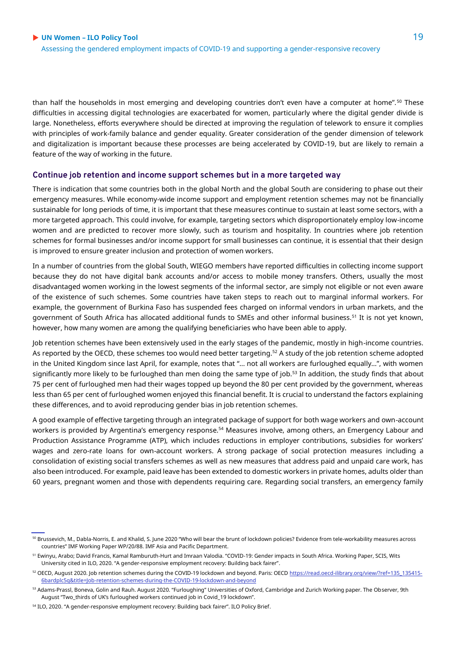than half the households in most emerging and developing countries don't even have a computer at home".<sup>50</sup> These difficulties in accessing digital technologies are exacerbated for women, particularly where the digital gender divide is large. Nonetheless, efforts everywhere should be directed at improving the regulation of telework to ensure it complies with principles of work-family balance and gender equality. Greater consideration of the gender dimension of telework and digitalization is important because these processes are being accelerated by COVID-19, but are likely to remain a feature of the way of working in the future.

#### **Continue job retention and income support schemes but in a more targeted way**

There is indication that some countries both in the global North and the global South are considering to phase out their emergency measures. While economy-wide income support and employment retention schemes may not be financially sustainable for long periods of time, it is important that these measures continue to sustain at least some sectors, with a more targeted approach. This could involve, for example, targeting sectors which disproportionately employ low-income women and are predicted to recover more slowly, such as tourism and hospitality. In countries where job retention schemes for formal businesses and/or income support for small businesses can continue, it is essential that their design is improved to ensure greater inclusion and protection of women workers.

In a number of countries from the global South, WIEGO members have reported difficulties in collecting income support because they do not have digital bank accounts and/or access to mobile money transfers. Others, usually the most disadvantaged women working in the lowest segments of the informal sector, are simply not eligible or not even aware of the existence of such schemes. Some countries have taken steps to reach out to marginal informal workers. For example, the government of Burkina Faso has suspended fees charged on informal vendors in urban markets, and the government of South Africa has allocated additional funds to SMEs and other informal business.<sup>51</sup> It is not yet known, however, how many women are among the qualifying beneficiaries who have been able to apply.

Job retention schemes have been extensively used in the early stages of the pandemic, mostly in high-income countries. As reported by the OECD, these schemes too would need better targeting.<sup>52</sup> A study of the job retention scheme adopted in the United Kingdom since last April, for example, notes that "... not all workers are furloughed equally…", with women significantly more likely to be furloughed than men doing the same type of job.<sup>53</sup> In addition, the study finds that about 75 per cent of furloughed men had their wages topped up beyond the 80 per cent provided by the government, whereas less than 65 per cent of furloughed women enjoyed this financial benefit. It is crucial to understand the factors explaining these differences, and to avoid reproducing gender bias in job retention schemes.

A good example of effective targeting through an integrated package of support for both wage workers and own-account workers is provided by Argentina's emergency response.<sup>54</sup> Measures involve, among others, an Emergency Labour and Production Assistance Programme (ATP), which includes reductions in employer contributions, subsidies for workers' wages and zero-rate loans for own-account workers. A strong package of social protection measures including a consolidation of existing social transfers schemes as well as new measures that address paid and unpaid care work, has also been introduced. For example, paid leave has been extended to domestic workers in private homes, adults older than 60 years, pregnant women and those with dependents requiring care. Regarding social transfers, an emergency family

<sup>50</sup> Brussevich, M., Dabla-Norris, E. and Khalid, S. June 2020 "Who will bear the brunt of lockdown policies? Evidence from tele-workability measures across countries" IMF Working Paper WP/20/88. IMF Asia and Pacific Department.

<sup>51</sup> Ewinyu, Arabo; David Francis, Kamal Ramburuth-Hurt and Imraan Valodia. "COVID-19: Gender impacts in South Africa. Working Paper, SCIS, Wits University cited in ILO, 2020. "A gender-responsive employment recovery: Building back fairer".

<sup>52</sup> OECD, August 2020. Job retention schemes during the COVID-19 lockdown and beyond. Paris: OEC[D https://read.oecd-ilibrary.org/view/?ref=135\\_135415-](https://read.oecd-ilibrary.org/view/?ref=135_135415-6bardplc5q&title=Job-retention-schemes-during-the-COVID-19-lockdown-and-beyond) [6bardplc5q&title=Job-retention-schemes-during-the-COVID-19-lockdown-and-beyond](https://read.oecd-ilibrary.org/view/?ref=135_135415-6bardplc5q&title=Job-retention-schemes-during-the-COVID-19-lockdown-and-beyond)

<sup>53</sup> Adams-Prassl, Boneva, Golin and Rauh. August 2020. "Furloughing" Universities of Oxford, Cambridge and Zurich Working paper. The Observer, 9th August "Two\_thirds of UK's furloughed workers continued job in Covid\_19 lockdown".

<sup>&</sup>lt;sup>54</sup> ILO, 2020. "A gender-responsive employment recovery: Building back fairer". ILO Policy Brief.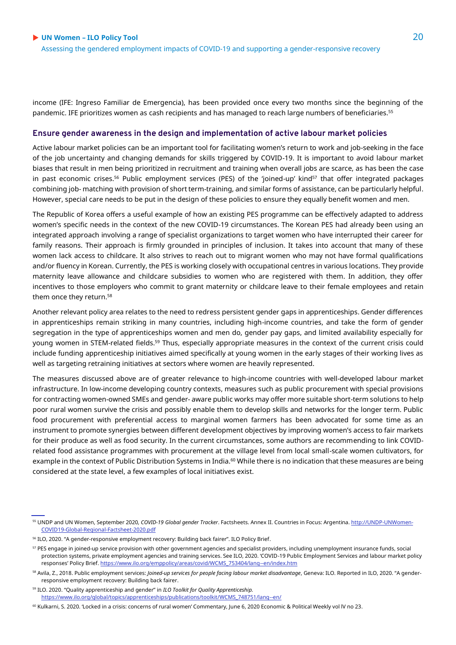income (IFE: Ingreso Familiar de Emergencia), has been provided once every two months since the beginning of the pandemic. IFE prioritizes women as cash recipients and has managed to reach large numbers of beneficiaries.<sup>55</sup>

#### **Ensure gender awareness in the design and implementation of active labour market policies**

Active labour market policies can be an important tool for facilitating women's return to work and job-seeking in the face of the job uncertainty and changing demands for skills triggered by COVID-19. It is important to avoid labour market biases that result in men being prioritized in recruitment and training when overall jobs are scarce, as has been the case in past economic crises.<sup>56</sup> Public employment services (PES) of the 'joined-up' kind<sup>57</sup> that offer integrated packages combining job- matching with provision of short term-training, and similar forms of assistance, can be particularly helpful. However, special care needs to be put in the design of these policies to ensure they equally benefit women and men.

The Republic of Korea offers a useful example of how an existing PES programme can be effectively adapted to address women's specific needs in the context of the new COVID-19 circumstances. The Korean PES had already been using an integrated approach involving a range of specialist organizations to target women who have interrupted their career for family reasons. Their approach is firmly grounded in principles of inclusion. It takes into account that many of these women lack access to childcare. It also strives to reach out to migrant women who may not have formal qualifications and/or fluency in Korean. Currently, the PES is working closely with occupational centres in various locations. They provide maternity leave allowance and childcare subsidies to women who are registered with them. In addition, they offer incentives to those employers who commit to grant maternity or childcare leave to their female employees and retain them once they return.<sup>58</sup>

Another relevant policy area relates to the need to redress persistent gender gaps in apprenticeships. Gender differences in apprenticeships remain striking in many countries, including high-income countries, and take the form of gender segregation in the type of apprenticeships women and men do, gender pay gaps, and limited availability especially for young women in STEM-related fields.<sup>59</sup> Thus, especially appropriate measures in the context of the current crisis could include funding apprenticeship initiatives aimed specifically at young women in the early stages of their working lives as well as targeting retraining initiatives at sectors where women are heavily represented.

The measures discussed above are of greater relevance to high-income countries with well-developed labour market infrastructure. In low-income developing country contexts, measures such as public procurement with special provisions for contracting women-owned SMEs and gender- aware public works may offer more suitable short-term solutions to help poor rural women survive the crisis and possibly enable them to develop skills and networks for the longer term. Public food procurement with preferential access to marginal women farmers has been advocated for some time as an instrument to promote synergies between different development objectives by improving women's access to fair markets for their produce as well as food security. In the current circumstances, some authors are recommending to link COVIDrelated food assistance programmes with procurement at the village level from local small-scale women cultivators, for example in the context of Public Distribution Systems in India.<sup>60</sup> While there is no indication that these measures are being considered at the state level, a few examples of local initiatives exist.

<sup>55</sup> UNDP and UN Women, September 2020*, COVID-19 Global gender Tracker*. Factsheets. Annex II. Countries in Focus: Argentina. [http://UNDP-UNWomen-](http://undp-unwomen-covid19-global-regional-factsheet-2020.pdf/)[COVID19-Global-Regional-Factsheet-2020.pdf](http://undp-unwomen-covid19-global-regional-factsheet-2020.pdf/)

<sup>56</sup> ILO, 2020. "A gender-responsive employment recovery: Building back fairer". ILO Policy Brief.

<sup>57</sup> PES engage in joined-up service provision with other government agencies and specialist providers, including unemployment insurance funds, social protection systems, private employment agencies and training services. See ILO, 2020. 'COVID-19 Public Employment Services and labour market policy responses' Policy Brief. [https://www.ilo.org/emppolicy/areas/covid/WCMS\\_753404/lang--en/index.htm](https://www.ilo.org/emppolicy/areas/covid/WCMS_753404/lang--en/index.htm)

<sup>&</sup>lt;sup>58</sup> Avila, Z., 2018. Public employment services: *Joined-up services for people facing labour market disadvantage*, Geneva: ILO. Reported in ILO, 2020. "A genderresponsive employment recovery: Building back fairer.

<sup>59</sup> ILO. 2020. "Quality apprenticeship and gender" in *ILO Toolkit for Quality Apprenticeship.* [https://www.ilo.org/global/topics/apprenticeships/publications/toolkit/WCMS\\_748751/lang--en/](https://www.ilo.org/global/topics/apprenticeships/publications/toolkit/WCMS_748751/lang--en/)

<sup>60</sup> Kulkarni, S. 2020. 'Locked in a crisis: concerns of rural women' Commentary, June 6, 2020 Economic & Political Weekly vol IV no 23.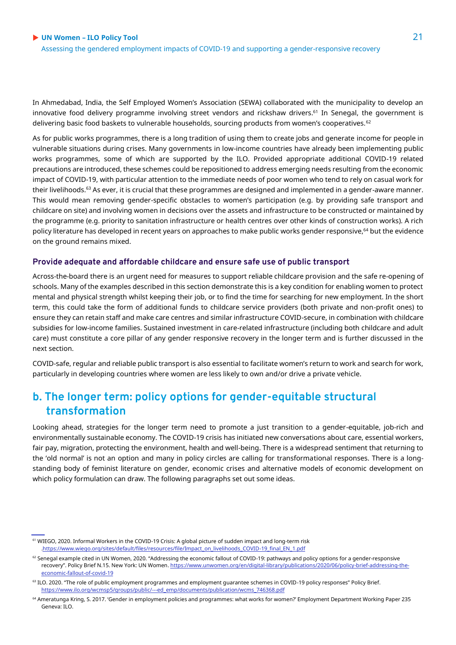In Ahmedabad, India, the Self Employed Women's Association (SEWA) collaborated with the municipality to develop an innovative food delivery programme involving street vendors and rickshaw drivers.<sup>61</sup> In Senegal, the government is delivering basic food baskets to vulnerable households, sourcing products from women's cooperatives.<sup>62</sup>

As for public works programmes, there is a long tradition of using them to create jobs and generate income for people in vulnerable situations during crises. Many governments in low-income countries have already been implementing public works programmes, some of which are supported by the ILO. Provided appropriate additional COVID-19 related precautions are introduced, these schemes could be repositioned to address emerging needs resulting from the economic impact of COVID-19, with particular attention to the immediate needs of poor women who tend to rely on casual work for their livelihoods.<sup>63</sup> As ever, it is crucial that these programmes are designed and implemented in a gender-aware manner. This would mean removing gender-specific obstacles to women's participation (e.g. by providing safe transport and childcare on site) and involving women in decisions over the assets and infrastructure to be constructed or maintained by the programme (e.g. priority to sanitation infrastructure or health centres over other kinds of construction works). A rich policy literature has developed in recent years on approaches to make public works gender responsive,<sup>64</sup> but the evidence on the ground remains mixed.

#### **Provide adequate and affordable childcare and ensure safe use of public transport**

Across-the-board there is an urgent need for measures to support reliable childcare provision and the safe re-opening of schools. Many of the examples described in this section demonstrate this is a key condition for enabling women to protect mental and physical strength whilst keeping their job, or to find the time for searching for new employment. In the short term, this could take the form of additional funds to childcare service providers (both private and non-profit ones) to ensure they can retain staff and make care centres and similar infrastructure COVID-secure, in combination with childcare subsidies for low-income families. Sustained investment in care-related infrastructure (including both childcare and adult care) must constitute a core pillar of any gender responsive recovery in the longer term and is further discussed in the next section.

COVID-safe, regular and reliable public transport is also essential to facilitate women's return to work and search for work, particularly in developing countries where women are less likely to own and/or drive a private vehicle.

# **b. The longer term: policy options for gender-equitable structural transformation**

Looking ahead, strategies for the longer term need to promote a just transition to a gender-equitable, job-rich and environmentally sustainable economy. The COVID-19 crisis has initiated new conversations about care, essential workers, fair pay, migration, protecting the environment, health and well-being. There is a widespread sentiment that returning to the 'old normal' is not an option and many in policy circles are calling for transformational responses. There is a longstanding body of feminist literature on gender, economic crises and alternative models of economic development on which policy formulation can draw. The following paragraphs set out some ideas.

<sup>61</sup> WIEGO, 2020. Informal Workers in the COVID-19 Crisis: A global picture of sudden impact and long-term risk [.https://www.wiego.org/sites/default/files/resources/file/Impact\\_on\\_livelihoods\\_COVID-19\\_final\\_EN\\_1.pdf](https://www.wiego.org/sites/default/files/resources/file/Impact_on_livelihoods_COVID-19_final_EN_1.pdf)

<sup>&</sup>lt;sup>62</sup> Senegal example cited in UN Women, 2020. "Addressing the economic fallout of COVID-19: pathways and policy options for a gender-responsive recovery". Policy Brief N.15. New York: UN Women. [https://www.unwomen.org/en/digital-library/publications/2020/06/policy-brief-addressing-the](https://www.unwomen.org/en/digital-library/publications/2020/06/policy-brief-addressing-the-economic-fallout-of-covid-19)[economic-fallout-of-covid-19](https://www.unwomen.org/en/digital-library/publications/2020/06/policy-brief-addressing-the-economic-fallout-of-covid-19)

<sup>63</sup> ILO. 2020. "The role of public employment programmes and employment guarantee schemes in COVID-19 policy responses" Policy Brief. [https://www.ilo.org/wcmsp5/groups/public/---ed\\_emp/documents/publication/wcms\\_746368.pdf](https://www.ilo.org/wcmsp5/groups/public/---ed_emp/documents/publication/wcms_746368.pdf)

<sup>64</sup> Ameratunga Kring, S. 2017. 'Gender in employment policies and programmes: what works for women?' Employment Department Working Paper 235 Geneva: ILO.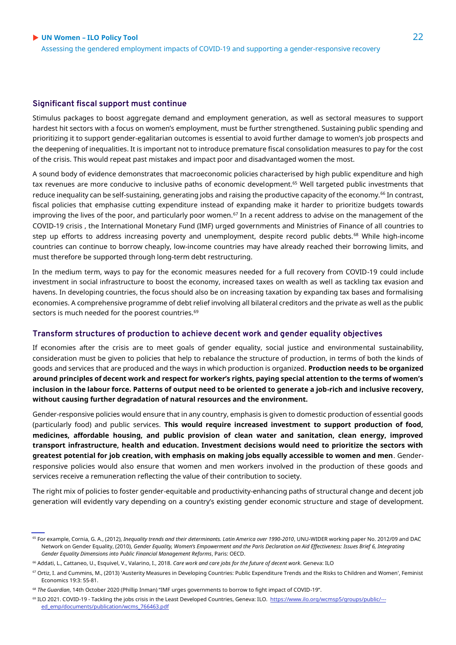Assessing the gendered employment impacts of COVID-19 and supporting a gender-responsive recovery

#### **Significant fiscal support must continue**

Stimulus packages to boost aggregate demand and employment generation, as well as sectoral measures to support hardest hit sectors with a focus on women's employment, must be further strengthened. Sustaining public spending and prioritizing it to support gender-egalitarian outcomes is essential to avoid further damage to women's job prospects and the deepening of inequalities. It is important not to introduce premature fiscal consolidation measures to pay for the cost of the crisis. This would repeat past mistakes and impact poor and disadvantaged women the most.

A sound body of evidence demonstrates that macroeconomic policies characterised by high public expenditure and high tax revenues are more conducive to inclusive paths of economic development.<sup>65</sup> Well targeted public investments that reduce inequality can be self-sustaining, generating jobs and raising the productive capacity of the economy.<sup>66</sup> In contrast, fiscal policies that emphasise cutting expenditure instead of expanding make it harder to prioritize budgets towards improving the lives of the poor, and particularly poor women.<sup>67</sup> In a recent address to advise on the management of the COVID-19 crisis , the International Monetary Fund (IMF) urged governments and Ministries of Finance of all countries to step up efforts to address increasing poverty and unemployment, despite record public debts.<sup>68</sup> While high-income countries can continue to borrow cheaply, low-income countries may have already reached their borrowing limits, and must therefore be supported through long-term debt restructuring.

In the medium term, ways to pay for the economic measures needed for a full recovery from COVID-19 could include investment in social infrastructure to boost the economy, increased taxes on wealth as well as tackling tax evasion and havens. In developing countries, the focus should also be on increasing taxation by expanding tax bases and formalising economies. A comprehensive programme of debt relief involving all bilateral creditors and the private as well as the public sectors is much needed for the poorest countries.<sup>69</sup>

#### **Transform structures of production to achieve decent work and gender equality objectives**

If economies after the crisis are to meet goals of gender equality, social justice and environmental sustainability, consideration must be given to policies that help to rebalance the structure of production, in terms of both the kinds of goods and services that are produced and the ways in which production is organized. **Production needs to be organized around principles of decent work and respect for worker's rights, paying special attention to the terms of women's inclusion in the labour force. Patterns of output need to be oriented to generate a job-rich and inclusive recovery, without causing further degradation of natural resources and the environment.**

Gender-responsive policies would ensure that in any country, emphasis is given to domestic production of essential goods (particularly food) and public services. **This would require increased investment to support production of food, medicines, affordable housing, and public provision of clean water and sanitation, clean energy, improved transport infrastructure, health and education. Investment decisions would need to prioritize the sectors with greatest potential for job creation, with emphasis on making jobs equally accessible to women and men**. Genderresponsive policies would also ensure that women and men workers involved in the production of these goods and services receive a remuneration reflecting the value of their contribution to society.

The right mix of policies to foster gender-equitable and productivity-enhancing paths of structural change and decent job generation will evidently vary depending on a country's existing gender economic structure and stage of development.

<sup>65</sup> For example, Cornia, G. A., (2012), *Inequality trends and their determinants. Latin America over 1990-2010*, UNU-WIDER working paper No. 2012/09 and DAC Network on Gender Equality, (2010), *Gender Equality, Women's Empowerment and the Paris Declaration on Aid Effectiveness: Issues Brief 6, Integrating Gender Equality Dimensions into Public Financial Management Reforms*, Paris: OECD.

<sup>66</sup> Addati, L., Cattaneo, U., Esquivel, V., Valarino, I., 2018. *Care work and care jobs for the future of decent work*. Geneva: ILO

<sup>67</sup> Ortiz, I. and Cummins, M., (2013) 'Austerity Measures in Developing Countries: Public Expenditure Trends and the Risks to Children and Women', Feminist Economics 19:3: 55-81.

<sup>68</sup> *The Guardian*, 14th October 2020 (Phillip Inman) "IMF urges governments to borrow to fight impact of COVID-19".

<sup>&</sup>lt;sup>69</sup> ILO 2021. COVID-19 - Tackling the jobs crisis in the Least Developed Countries, Geneva: ILO. [https://www.ilo.org/wcmsp5/groups/public/--](https://www.ilo.org/wcmsp5/groups/public/---ed_emp/documents/publication/wcms_766463.pdf) [ed\\_emp/documents/publication/wcms\\_766463.pdf](https://www.ilo.org/wcmsp5/groups/public/---ed_emp/documents/publication/wcms_766463.pdf)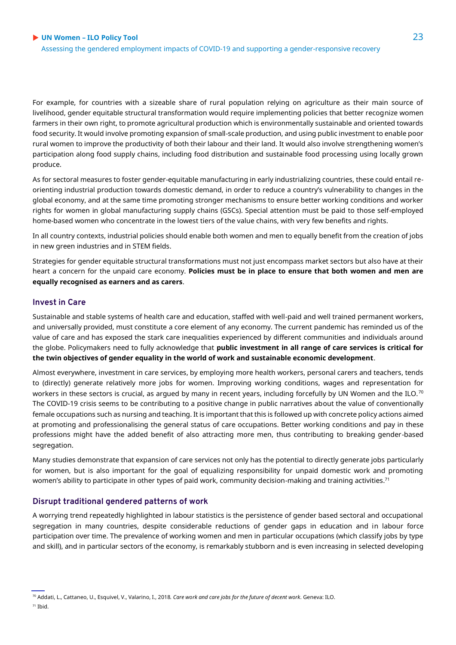For example, for countries with a sizeable share of rural population relying on agriculture as their main source of livelihood, gender equitable structural transformation would require implementing policies that better recognize women farmers in their own right, to promote agricultural production which is environmentally sustainable and oriented towards food security. It would involve promoting expansion of small-scale production, and using public investment to enable poor rural women to improve the productivity of both their labour and their land. It would also involve strengthening women's participation along food supply chains, including food distribution and sustainable food processing using locally grown produce.

As for sectoral measures to foster gender-equitable manufacturing in early industrializing countries, these could entail reorienting industrial production towards domestic demand, in order to reduce a country's vulnerability to changes in the global economy, and at the same time promoting stronger mechanisms to ensure better working conditions and worker rights for women in global manufacturing supply chains (GSCs). Special attention must be paid to those self-employed home-based women who concentrate in the lowest tiers of the value chains, with very few benefits and rights.

In all country contexts, industrial policies should enable both women and men to equally benefit from the creation of jobs in new green industries and in STEM fields.

Strategies for gender equitable structural transformations must not just encompass market sectors but also have at their heart a concern for the unpaid care economy. **Policies must be in place to ensure that both women and men are equally recognised as earners and as carers**.

#### **Invest in Care**

Sustainable and stable systems of health care and education, staffed with well-paid and well trained permanent workers, and universally provided, must constitute a core element of any economy. The current pandemic has reminded us of the value of care and has exposed the stark care inequalities experienced by different communities and individuals around the globe. Policymakers need to fully acknowledge that **public investment in all range of care services is critical for the twin objectives of gender equality in the world of work and sustainable economic development**.

Almost everywhere, investment in care services, by employing more health workers, personal carers and teachers, tends to (directly) generate relatively more jobs for women. Improving working conditions, wages and representation for workers in these sectors is crucial, as argued by many in recent years, including forcefully by UN Women and the ILO.<sup>70</sup> The COVID-19 crisis seems to be contributing to a positive change in public narratives about the value of conventionally female occupations such as nursing and teaching. It is important that this is followed up with concrete policy actions aimed at promoting and professionalising the general status of care occupations. Better working conditions and pay in these professions might have the added benefit of also attracting more men, thus contributing to breaking gender-based segregation.

Many studies demonstrate that expansion of care services not only has the potential to directly generate jobs particularly for women, but is also important for the goal of equalizing responsibility for unpaid domestic work and promoting women's ability to participate in other types of paid work, community decision-making and training activities.<sup>71</sup>

#### **Disrupt traditional gendered patterns of work**

A worrying trend repeatedly highlighted in labour statistics is the persistence of gender based sectoral and occupational segregation in many countries, despite considerable reductions of gender gaps in education and in labour force participation over time. The prevalence of working women and men in particular occupations (which classify jobs by type and skill), and in particular sectors of the economy, is remarkably stubborn and is even increasing in selected developing

<sup>70</sup> Addati, L., Cattaneo, U., Esquivel, V., Valarino, I., 2018*. Care work and care jobs for the future of decent work*. Geneva: ILO.  $71$  Ibid.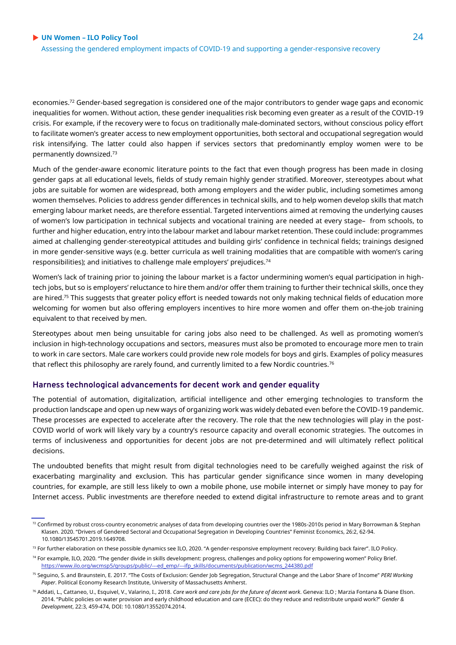economies.<sup>72</sup> Gender-based segregation is considered one of the major contributors to gender wage gaps and economic inequalities for women. Without action, these gender inequalities risk becoming even greater as a result of the COVID-19 crisis. For example, if the recovery were to focus on traditionally male-dominated sectors, without conscious policy effort to facilitate women's greater access to new employment opportunities, both sectoral and occupational segregation would risk intensifying. The latter could also happen if services sectors that predominantly employ women were to be permanently downsized.<sup>73</sup>

Much of the gender-aware economic literature points to the fact that even though progress has been made in closing gender gaps at all educational levels, fields of study remain highly gender stratified. Moreover, stereotypes about what jobs are suitable for women are widespread, both among employers and the wider public, including sometimes among women themselves. Policies to address gender differences in technical skills, and to help women develop skills that match emerging labour market needs, are therefore essential. Targeted interventions aimed at removing the underlying causes of women's low participation in technical subjects and vocational training are needed at every stage– from schools, to further and higher education, entry into the labour market and labour market retention. These could include: programmes aimed at challenging gender-stereotypical attitudes and building girls' confidence in technical fields; trainings designed in more gender-sensitive ways (e.g. better curricula as well training modalities that are compatible with women's caring responsibilities); and initiatives to challenge male employers' prejudices.<sup>74</sup>

Women's lack of training prior to joining the labour market is a factor undermining women's equal participation in hightech jobs, but so is employers' reluctance to hire them and/or offer them training to further their technical skills, once they are hired.<sup>75</sup> This suggests that greater policy effort is needed towards not only making technical fields of education more welcoming for women but also offering employers incentives to hire more women and offer them on-the-job training equivalent to that received by men.

Stereotypes about men being unsuitable for caring jobs also need to be challenged. As well as promoting women's inclusion in high-technology occupations and sectors, measures must also be promoted to encourage more men to train to work in care sectors. Male care workers could provide new role models for boys and girls. Examples of policy measures that reflect this philosophy are rarely found, and currently limited to a few Nordic countries.<sup>76</sup>

#### **Harness technological advancements for decent work and gender equality**

The potential of automation, digitalization, artificial intelligence and other emerging technologies to transform the production landscape and open up new ways of organizing work was widely debated even before the COVID-19 pandemic. These processes are expected to accelerate after the recovery. The role that the new technologies will play in the post-COVID world of work will likely vary by a country's resource capacity and overall economic strategies. The outcomes in terms of inclusiveness and opportunities for decent jobs are not pre-determined and will ultimately reflect political decisions.

The undoubted benefits that might result from digital technologies need to be carefully weighed against the risk of exacerbating marginality and exclusion. This has particular gender significance since women in many developing countries, for example, are still less likely to own a mobile phone, use mobile internet or simply have money to pay for Internet access. Public investments are therefore needed to extend digital infrastructure to remote areas and to grant

 $72$  Confirmed by robust cross-country econometric analyses of data from developing countries over the 1980s-2010s period in Mary Borrowman & Stephan Klasen. 2020. "Drivers of Gendered Sectoral and Occupational Segregation in Developing Countries" Feminist Economics, 26:2, 62-94. 10.1080/13545701.2019.1649708.

<sup>73</sup> For further elaboration on these possible dynamics see ILO, 2020. "A gender-responsive employment recovery: Building back fairer". ILO Policy.

<sup>74</sup> For example, ILO, 2020. "The gender divide in skills development: progress, challenges and policy options for empowering women" Policy Brief. [https://www.ilo.org/wcmsp5/groups/public/---ed\\_emp/---ifp\\_skills/documents/publication/wcms\\_244380.pdf](https://www.ilo.org/wcmsp5/groups/public/---ed_emp/---ifp_skills/documents/publication/wcms_244380.pdf)

<sup>75</sup> Seguino, S. and Braunstein, E. 2017. "The Costs of Exclusion: Gender Job Segregation, Structural Change and the Labor Share of Income" *PERI Working Paper*. Political Economy Research Institute, University of Massachusetts Amherst.

<sup>76</sup> Addati, L., Cattaneo, U., Esquivel, V., Valarino, I., 2018. *Care work and care jobs for the future of decent work*. Geneva: ILO ; Marzia Fontana & Diane Elson. 2014. "Public policies on water provision and early childhood education and care (ECEC): do they reduce and redistribute unpaid work?" *Gender & Development*, 22:3, 459-474, DOI: 10.1080/13552074.2014.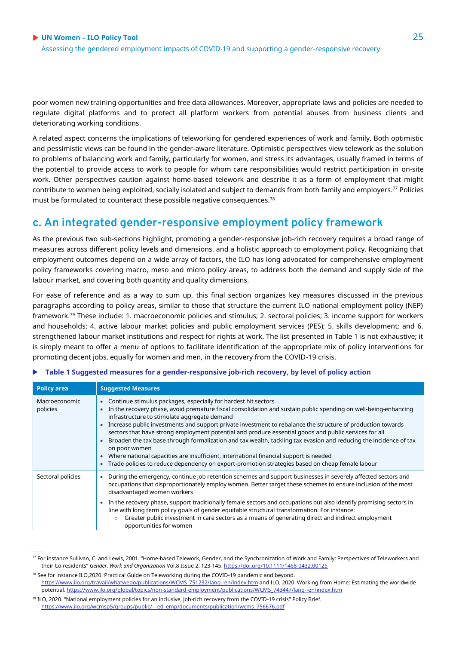poor women new training opportunities and free data allowances. Moreover, appropriate laws and policies are needed to regulate digital platforms and to protect all platform workers from potential abuses from business clients and deteriorating working conditions.

A related aspect concerns the implications of teleworking for gendered experiences of work and family. Both optimistic and pessimistic views can be found in the gender-aware literature. Optimistic perspectives view telework as the solution to problems of balancing work and family, particularly for women, and stress its advantages, usually framed in terms of the potential to provide access to work to people for whom care responsibilities would restrict participation in on-site work. Other perspectives caution against home-based telework and describe it as a form of employment that might contribute to women being exploited, socially isolated and subject to demands from both family and employers.<sup>77</sup> Policies must be formulated to counteract these possible negative consequences.<sup>78</sup>

# **c. An integrated gender-responsive employment policy framework**

As the previous two sub-sections highlight, promoting a gender-responsive job-rich recovery requires a broad range of measures across different policy levels and dimensions, and a holistic approach to employment policy. Recognizing that employment outcomes depend on a wide array of factors, the ILO has long advocated for comprehensive employment policy frameworks covering macro, meso and micro policy areas, to address both the demand and supply side of the labour market, and covering both quantity and quality dimensions.

For ease of reference and as a way to sum up, this final section organizes key measures discussed in the previous paragraphs according to policy areas, similar to those that structure the current ILO national employment policy (NEP) framework.<sup>79</sup> These include: 1. macroeconomic policies and stimulus; 2. sectoral policies; 3. income support for workers and households; 4. active labour market policies and public employment services (PES); 5. skills development; and 6. strengthened labour market institutions and respect for rights at work. The list presented in Table 1 is not exhaustive; it is simply meant to offer a menu of options to facilitate identification of the appropriate mix of policy interventions for promoting decent jobs, equally for women and men, in the recovery from the COVID-19 crisis.

| <b>TWAIS TOWANDOWN MICHAEL IS TOT &amp; NOMING TOPONISTYC JON TIGHT COOPERTY, BY TOPON OF POINT MONDH</b> |                                                                                                                                                                                                                                                                                                                                                                                                                                                                                                                                                                                                                                                                                                                                                                                             |  |  |  |
|-----------------------------------------------------------------------------------------------------------|---------------------------------------------------------------------------------------------------------------------------------------------------------------------------------------------------------------------------------------------------------------------------------------------------------------------------------------------------------------------------------------------------------------------------------------------------------------------------------------------------------------------------------------------------------------------------------------------------------------------------------------------------------------------------------------------------------------------------------------------------------------------------------------------|--|--|--|
| <b>Policy area</b>                                                                                        | <b>Suggested Measures</b>                                                                                                                                                                                                                                                                                                                                                                                                                                                                                                                                                                                                                                                                                                                                                                   |  |  |  |
| Macroeconomic<br>policies                                                                                 | Continue stimulus packages, especially for hardest hit sectors<br>In the recovery phase, avoid premature fiscal consolidation and sustain public spending on well-being-enhancing<br>infrastructure to stimulate aggregate demand<br>Increase public investments and support private investment to rebalance the structure of production towards<br>sectors that have strong employment potential and produce essential goods and public services for all<br>Broaden the tax base through formalization and tax wealth, tackling tax evasion and reducing the incidence of tax<br>on poor women<br>Where national capacities are insufficient, international financial support is needed<br>Trade policies to reduce dependency on export-promotion strategies based on cheap female labour |  |  |  |
| Sectoral policies                                                                                         | During the emergency, continue job retention schemes and support businesses in severely affected sectors and<br>۰<br>occupations that disproportionately employ women. Better target these schemes to ensure inclusion of the most<br>disadvantaged women workers<br>In the recovery phase, support traditionally female sectors and occupations but also identify promising sectors in<br>$\bullet$<br>line with long term policy goals of gender equitable structural transformation. For instance:                                                                                                                                                                                                                                                                                       |  |  |  |

#### **Table 1 Suggested measures for a gender-responsive job-rich recovery, by level of policy action**

 $\circ$  Greater public investment in care sectors as a means of generating direct and indirect employment

opportunities for women

 $\emph{7}$  For instance Sullivan, C. and Lewis, 2001. "Home-based Telework, Gender, and the Synchronization of Work and Family: Perspectives of Teleworkers and their Co‐residents" *Gender, Work and Organization* Vol.8 Issue 2: 123-145. <https://doi.org/10.1111/1468-0432.00125>

 $78$  See for instance ILO,2020. Practical Guide on Teleworking during the COVID-19 pandemic and beyond. [https://www.ilo.org/travail/whatwedo/publications/WCMS\\_751232/lang--en/index.htm](https://www.ilo.org/travail/whatwedo/publications/WCMS_751232/lang--en/index.htm) and ILO, 2020. Working from Home: Estimating the worldwide potential. [https://www.ilo.org/global/topics/non-standard-employment/publications/WCMS\\_743447/lang--en/index.htm](https://www.ilo.org/global/topics/non-standard-employment/publications/WCMS_743447/lang--en/index.htm)

<sup>79</sup> ILO, 2020. "National employment policies for an inclusive, job-rich recovery from the COVID-19 crisis" Policy Brief. [https://www.ilo.org/wcmsp5/groups/public/---ed\\_emp/documents/publication/wcms\\_756676.pdf](https://www.ilo.org/wcmsp5/groups/public/---ed_emp/documents/publication/wcms_756676.pdf)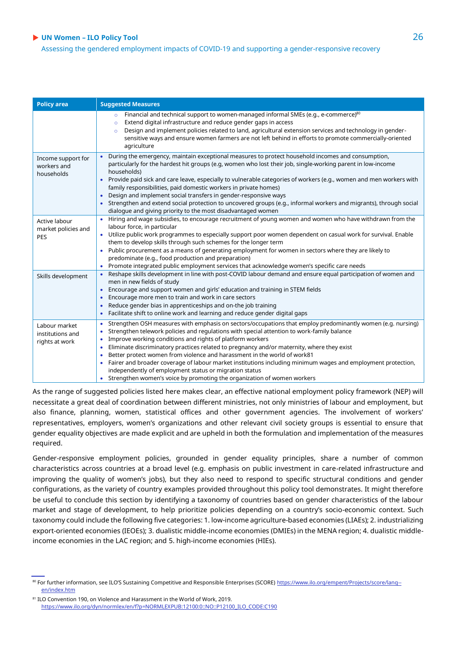Assessing the gendered employment impacts of COVID-19 and supporting a gender-responsive recovery

| <b>Policy area</b>                                  | <b>Suggested Measures</b>                                                                                                                                                                                                                                                                                                                                                                                                                                                                                                                                                                                                                                                                                          |
|-----------------------------------------------------|--------------------------------------------------------------------------------------------------------------------------------------------------------------------------------------------------------------------------------------------------------------------------------------------------------------------------------------------------------------------------------------------------------------------------------------------------------------------------------------------------------------------------------------------------------------------------------------------------------------------------------------------------------------------------------------------------------------------|
|                                                     | Financial and technical support to women-managed informal SMEs (e.g., e-commerce) <sup>80</sup><br>$\circ$<br>Extend digital infrastructure and reduce gender gaps in access<br>$\circ$<br>Design and implement policies related to land, agricultural extension services and technology in gender-<br>$\circ$<br>sensitive ways and ensure women farmers are not left behind in efforts to promote commercially-oriented<br>agriculture                                                                                                                                                                                                                                                                           |
| Income support for<br>workers and<br>households     | During the emergency, maintain exceptional measures to protect household incomes and consumption,<br>particularly for the hardest hit groups (e.g, women who lost their job, single-working parent in low-income<br>households)<br>Provide paid sick and care leave, especially to vulnerable categories of workers (e.g., women and men workers with<br>family responsibilities, paid domestic workers in private homes)<br>Design and implement social transfers in gender-responsive ways<br>Strengthen and extend social protection to uncovered groups (e.g., informal workers and migrants), through social<br>dialogue and giving priority to the most disadvantaged women                                  |
| Active labour<br>market policies and<br><b>PES</b>  | Hiring and wage subsidies, to encourage recruitment of young women and women who have withdrawn from the<br>$\bullet$<br>labour force, in particular<br>Utilize public work programmes to especially support poor women dependent on casual work for survival. Enable<br>them to develop skills through such schemes for the longer term<br>Public procurement as a means of generating employment for women in sectors where they are likely to<br>predominate (e.g., food production and preparation)<br>Promote integrated public employment services that acknowledge women's specific care needs                                                                                                              |
| Skills development                                  | Reshape skills development in line with post-COVID labour demand and ensure equal participation of women and<br>men in new fields of study<br>Encourage and support women and girls' education and training in STEM fields<br>Encourage more men to train and work in care sectors<br>Reduce gender bias in apprenticeships and on-the job training<br>Facilitate shift to online work and learning and reduce gender digital gaps                                                                                                                                                                                                                                                                                 |
| Labour market<br>institutions and<br>rights at work | Strengthen OSH measures with emphasis on sectors/occupations that employ predominantly women (e.g. nursing)<br>$\bullet$<br>Strengthen telework policies and regulations with special attention to work-family balance<br>Improve working conditions and rights of platform workers<br>Eliminate discriminatory practices related to pregnancy and/or maternity, where they exist<br>Better protect women from violence and harassment in the world of work81<br>Fairer and broader coverage of labour market institutions including minimum wages and employment protection,<br>independently of employment status or migration status<br>Strengthen women's voice by promoting the organization of women workers |

As the range of suggested policies listed here makes clear, an effective national employment policy framework (NEP) will necessitate a great deal of coordination between different ministries, not only ministries of labour and employment, but also finance, planning, women, statistical offices and other government agencies. The involvement of workers' representatives, employers, women's organizations and other relevant civil society groups is essential to ensure that gender equality objectives are made explicit and are upheld in both the formulation and implementation of the measures required.

Gender-responsive employment policies, grounded in gender equality principles, share a number of common characteristics across countries at a broad level (e.g. emphasis on public investment in care-related infrastructure and improving the quality of women's jobs), but they also need to respond to specific structural conditions and gender configurations, as the variety of country examples provided throughout this policy tool demonstrates. It might therefore be useful to conclude this section by identifying a taxonomy of countries based on gender characteristics of the labour market and stage of development, to help prioritize policies depending on a country's socio-economic context. Such taxonomy could include the following five categories: 1. low-income agriculture-based economies (LIAEs); 2. industrializing export-oriented economies (IEOEs); 3. dualistic middle-income economies (DMIEs) in the MENA region; 4. dualistic middleincome economies in the LAC region; and 5. high-income economies (HIEs).

<sup>80</sup> For further information, see ILO'S Sustaining Competitive and Responsible Enterprises (SCORE) [https://www.ilo.org/empent/Projects/score/lang-](https://www.ilo.org/empent/Projects/score/lang--en/index.htm) [en/index.htm](https://www.ilo.org/empent/Projects/score/lang--en/index.htm)

<sup>81</sup> ILO Convention 190, on Violence and Harassment in the World of Work, 2019. [https://www.ilo.org/dyn/normlex/en/f?p=NORMLEXPUB:12100:0::NO::P12100\\_ILO\\_CODE:C190](https://www.ilo.org/dyn/normlex/en/f?p=NORMLEXPUB:12100:0::NO::P12100_ILO_CODE:C190)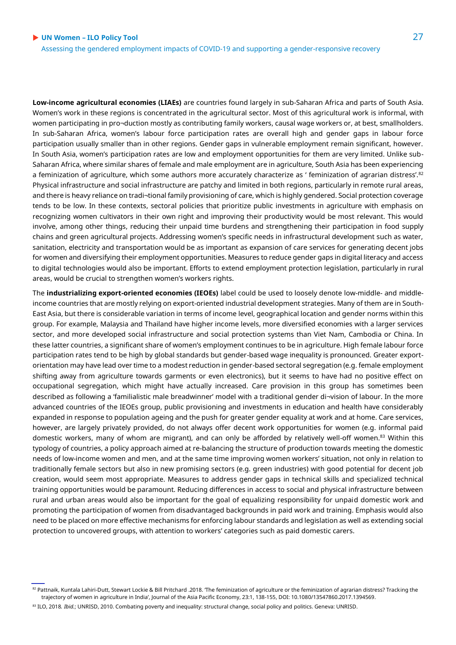**Low-income agricultural economies (LIAEs)** are countries found largely in sub-Saharan Africa and parts of South Asia. Women's work in these regions is concentrated in the agricultural sector. Most of this agricultural work is informal, with women participating in pro¬duction mostly as contributing family workers, causal wage workers or, at best, smallholders. In sub-Saharan Africa, women's labour force participation rates are overall high and gender gaps in labour force participation usually smaller than in other regions. Gender gaps in vulnerable employment remain significant, however. In South Asia, women's participation rates are low and employment opportunities for them are very limited. Unlike sub-Saharan Africa, where similar shares of female and male employment are in agriculture, South Asia has been experiencing a feminization of agriculture, which some authors more accurately characterize as ' feminization of agrarian distress'.<sup>82</sup> Physical infrastructure and social infrastructure are patchy and limited in both regions, particularly in remote rural areas, and there is heavy reliance on tradi¬tional family provisioning of care, which is highly gendered. Social protection coverage tends to be low. In these contexts, sectoral policies that prioritize public investments in agriculture with emphasis on recognizing women cultivators in their own right and improving their productivity would be most relevant. This would involve, among other things, reducing their unpaid time burdens and strengthening their participation in food supply chains and green agricultural projects. Addressing women's specific needs in infrastructural development such as water, sanitation, electricity and transportation would be as important as expansion of care services for generating decent jobs for women and diversifying their employment opportunities. Measures to reduce gender gaps in digital literacy and access to digital technologies would also be important. Efforts to extend employment protection legislation, particularly in rural areas, would be crucial to strengthen women's workers rights.

The **industrializing export-oriented economies (IEOEs)** label could be used to loosely denote low-middle- and middleincome countries that are mostly relying on export-oriented industrial development strategies. Many of them are in South-East Asia, but there is considerable variation in terms of income level, geographical location and gender norms within this group. For example, Malaysia and Thailand have higher income levels, more diversified economies with a larger services sector, and more developed social infrastructure and social protection systems than Viet Nam, Cambodia or China. In these latter countries, a significant share of women's employment continues to be in agriculture. High female labour force participation rates tend to be high by global standards but gender-based wage inequality is pronounced. Greater exportorientation may have lead over time to a modest reduction in gender-based sectoral segregation (e.g. female employment shifting away from agriculture towards garments or even electronics), but it seems to have had no positive effect on occupational segregation, which might have actually increased. Care provision in this group has sometimes been described as following a 'familialistic male breadwinner' model with a traditional gender di¬vision of labour. In the more advanced countries of the IEOEs group, public provisioning and investments in education and health have considerably expanded in response to population ageing and the push for greater gender equality at work and at home. Care services, however, are largely privately provided, do not always offer decent work opportunities for women (e.g. informal paid domestic workers, many of whom are migrant), and can only be afforded by relatively well-off women.<sup>83</sup> Within this typology of countries, a policy approach aimed at re-balancing the structure of production towards meeting the domestic needs of low-income women and men, and at the same time improving women workers' situation, not only in relation to traditionally female sectors but also in new promising sectors (e.g. green industries) with good potential for decent job creation, would seem most appropriate. Measures to address gender gaps in technical skills and specialized technical training opportunities would be paramount. Reducing differences in access to social and physical infrastructure between rural and urban areas would also be important for the goal of equalizing responsibility for unpaid domestic work and promoting the participation of women from disadvantaged backgrounds in paid work and training. Emphasis would also need to be placed on more effective mechanisms for enforcing labour standards and legislation as well as extending social protection to uncovered groups, with attention to workers' categories such as paid domestic carers.

<sup>&</sup>lt;sup>82</sup> Pattnaik, Kuntala Lahiri-Dutt, Stewart Lockie & Bill Pritchard .2018. The feminization of agriculture or the feminization of agrarian distress? Tracking the trajectory of women in agriculture in India', Journal of the Asia Pacific Economy, 23:1, 138-155, DOI: 10.1080/13547860.2017.1394569.

<sup>83</sup> ILO, 2018. *Ibid.*; UNRISD, 2010. Combating poverty and inequality: structural change, social policy and politics. Geneva: UNRISD.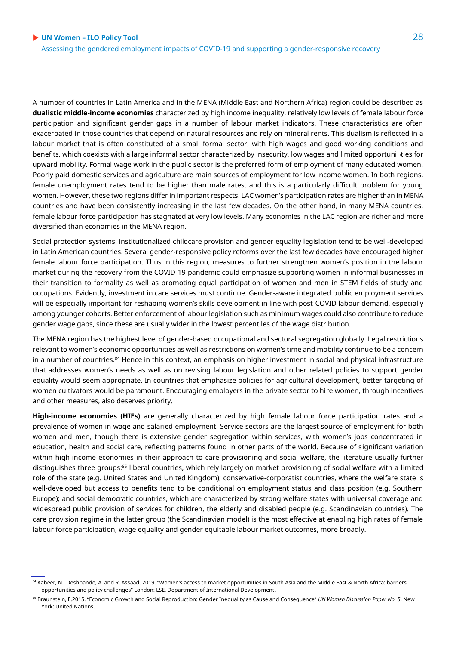A number of countries in Latin America and in the MENA (Middle East and Northern Africa) region could be described as **dualistic middle-income economies** characterized by high income inequality, relatively low levels of female labour force participation and significant gender gaps in a number of labour market indicators. These characteristics are often exacerbated in those countries that depend on natural resources and rely on mineral rents. This dualism is reflected in a labour market that is often constituted of a small formal sector, with high wages and good working conditions and benefits, which coexists with a large informal sector characterized by insecurity, low wages and limited opportuni¬ties for upward mobility. Formal wage work in the public sector is the preferred form of employment of many educated women. Poorly paid domestic services and agriculture are main sources of employment for low income women. In both regions, female unemployment rates tend to be higher than male rates, and this is a particularly difficult problem for young women. However, these two regions differ in important respects. LAC women's participation rates are higher than in MENA countries and have been consistently increasing in the last few decades. On the other hand, in many MENA countries, female labour force participation has stagnated at very low levels. Many economies in the LAC region are richer and more diversified than economies in the MENA region.

Social protection systems, institutionalized childcare provision and gender equality legislation tend to be well-developed in Latin American countries. Several gender-responsive policy reforms over the last few decades have encouraged higher female labour force participation. Thus in this region, measures to further strengthen women's position in the labour market during the recovery from the COVID-19 pandemic could emphasize supporting women in informal businesses in their transition to formality as well as promoting equal participation of women and men in STEM fields of study and occupations. Evidently, investment in care services must continue. Gender-aware integrated public employment services will be especially important for reshaping women's skills development in line with post-COVID labour demand, especially among younger cohorts. Better enforcement of labour legislation such as minimum wages could also contribute to reduce gender wage gaps, since these are usually wider in the lowest percentiles of the wage distribution.

The MENA region has the highest level of gender-based occupational and sectoral segregation globally. Legal restrictions relevant to women's economic opportunities as well as restrictions on women's time and mobility continue to be a concern in a number of countries.<sup>84</sup> Hence in this context, an emphasis on higher investment in social and physical infrastructure that addresses women's needs as well as on revising labour legislation and other related policies to support gender equality would seem appropriate. In countries that emphasize policies for agricultural development, better targeting of women cultivators would be paramount. Encouraging employers in the private sector to hire women, through incentives and other measures, also deserves priority.

**High-income economies (HIEs)** are generally characterized by high female labour force participation rates and a prevalence of women in wage and salaried employment. Service sectors are the largest source of employment for both women and men, though there is extensive gender segregation within services, with women's jobs concentrated in education, health and social care, reflecting patterns found in other parts of the world. Because of significant variation within high-income economies in their approach to care provisioning and social welfare, the literature usually further distinguishes three groups:<sup>85</sup> liberal countries, which rely largely on market provisioning of social welfare with a limited role of the state (e.g. United States and United Kingdom); conservative-corporatist countries, where the welfare state is well-developed but access to benefits tend to be conditional on employment status and class position (e.g. Southern Europe); and social democratic countries, which are characterized by strong welfare states with universal coverage and widespread public provision of services for children, the elderly and disabled people (e.g. Scandinavian countries). The care provision regime in the latter group (the Scandinavian model) is the most effective at enabling high rates of female labour force participation, wage equality and gender equitable labour market outcomes, more broadly.

<sup>84</sup> Kabeer, N., Deshpande, A. and R. Assaad. 2019. "Women's access to market opportunities in South Asia and the Middle East & North Africa: barriers, opportunities and policy challenges" London: LSE, Department of International Development.

<sup>85</sup> Braunstein, E.2015. "Economic Growth and Social Reproduction: Gender Inequality as Cause and Consequence" UN Women Discussion Paper No. 5. New York: United Nations.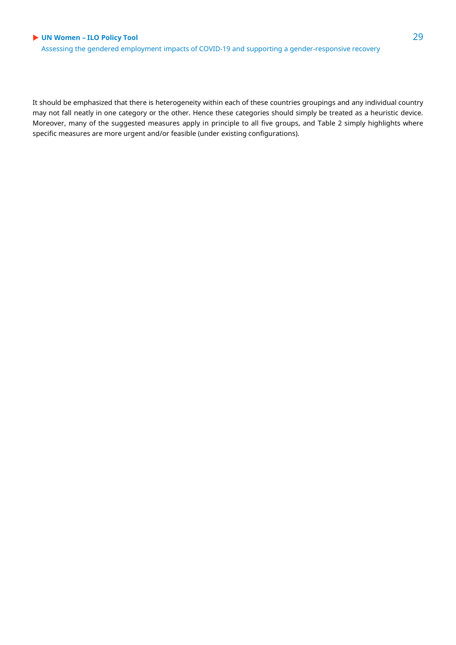Assessing the gendered employment impacts of COVID-19 and supporting a gender-responsive recovery

It should be emphasized that there is heterogeneity within each of these countries groupings and any individual country may not fall neatly in one category or the other. Hence these categories should simply be treated as a heuristic device. Moreover, many of the suggested measures apply in principle to all five groups, and Table 2 simply highlights where specific measures are more urgent and/or feasible (under existing configurations).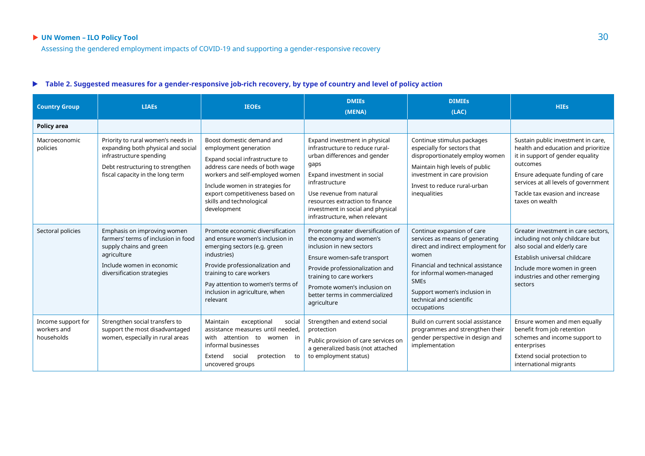#### **Table 2. Suggested measures for a gender-responsive job-rich recovery, by type of country and level of policy action**

| <b>Country Group</b>                            | <b>LIAEs</b>                                                                                                                                                                | <b>IEOEs</b>                                                                                                                                                                                                                                                                 | <b>DMIEs</b><br>(MENA)                                                                                                                                                                                                                                                                         | <b>DIMIES</b><br>(LAC)                                                                                                                                                                                                                                                     | <b>HIEs</b>                                                                                                                                                                                                                                                |
|-------------------------------------------------|-----------------------------------------------------------------------------------------------------------------------------------------------------------------------------|------------------------------------------------------------------------------------------------------------------------------------------------------------------------------------------------------------------------------------------------------------------------------|------------------------------------------------------------------------------------------------------------------------------------------------------------------------------------------------------------------------------------------------------------------------------------------------|----------------------------------------------------------------------------------------------------------------------------------------------------------------------------------------------------------------------------------------------------------------------------|------------------------------------------------------------------------------------------------------------------------------------------------------------------------------------------------------------------------------------------------------------|
| <b>Policy area</b>                              |                                                                                                                                                                             |                                                                                                                                                                                                                                                                              |                                                                                                                                                                                                                                                                                                |                                                                                                                                                                                                                                                                            |                                                                                                                                                                                                                                                            |
| Macroeconomic<br>policies                       | Priority to rural women's needs in<br>expanding both physical and social<br>infrastructure spending<br>Debt restructuring to strengthen<br>fiscal capacity in the long term | Boost domestic demand and<br>employment generation<br>Expand social infrastructure to<br>address care needs of both wage<br>workers and self-employed women<br>Include women in strategies for<br>export competitiveness based on<br>skills and technological<br>development | Expand investment in physical<br>infrastructure to reduce rural-<br>urban differences and gender<br>gaps<br>Expand investment in social<br>infrastructure<br>Use revenue from natural<br>resources extraction to finance<br>investment in social and physical<br>infrastructure, when relevant | Continue stimulus packages<br>especially for sectors that<br>disproportionately employ women<br>Maintain high levels of public<br>investment in care provision<br>Invest to reduce rural-urban<br>inequalities                                                             | Sustain public investment in care,<br>health and education and prioritize<br>it in support of gender equality<br>outcomes<br>Ensure adequate funding of care<br>services at all levels of government<br>Tackle tax evasion and increase<br>taxes on wealth |
| Sectoral policies                               | Emphasis on improving women<br>farmers' terms of inclusion in food<br>supply chains and green<br>agriculture<br>Include women in economic<br>diversification strategies     | Promote economic diversification<br>and ensure women's inclusion in<br>emerging sectors (e.g. green<br>industries)<br>Provide professionalization and<br>training to care workers<br>Pay attention to women's terms of<br>inclusion in agriculture, when<br>relevant         | Promote greater diversification of<br>the economy and women's<br>inclusion in new sectors<br>Ensure women-safe transport<br>Provide professionalization and<br>training to care workers<br>Promote women's inclusion on<br>better terms in commercialized<br>agriculture                       | Continue expansion of care<br>services as means of generating<br>direct and indirect employment for<br>women<br>Financial and technical assistance<br>for informal women-managed<br><b>SMEs</b><br>Support women's inclusion in<br>technical and scientific<br>occupations | Greater investment in care sectors.<br>including not only childcare but<br>also social and elderly care<br>Establish universal childcare<br>Include more women in green<br>industries and other remerging<br>sectors                                       |
| Income support for<br>workers and<br>households | Strengthen social transfers to<br>support the most disadvantaged<br>women, especially in rural areas                                                                        | exceptional<br>Maintain<br>social<br>assistance measures until needed,<br>with attention to women in<br>informal businesses<br>Extend<br>protection<br>social<br>to<br>uncovered groups                                                                                      | Strengthen and extend social<br>protection<br>Public provision of care services on<br>a generalized basis (not attached<br>to employment status)                                                                                                                                               | Build on current social assistance<br>programmes and strengthen their<br>gender perspective in design and<br>implementation                                                                                                                                                | Ensure women and men equally<br>benefit from job retention<br>schemes and income support to<br>enterprises<br>Extend social protection to<br>international migrants                                                                                        |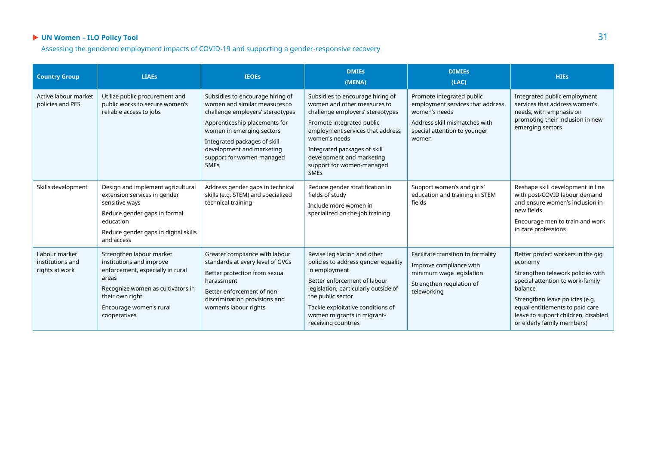Assessing the gendered employment impacts of COVID-19 and supporting a gender-responsive recovery

| <b>Country Group</b>                                | <b>LIAEs</b>                                                                                                                                                                                         | <b>IEOEs</b>                                                                                                                                                                                                                                                                 | <b>DMIEs</b><br>(MENA)                                                                                                                                                                                                                                                                         | <b>DIMIES</b><br>(LAC)                                                                                                                                   | <b>HIEs</b>                                                                                                                                                                                                                                                                 |
|-----------------------------------------------------|------------------------------------------------------------------------------------------------------------------------------------------------------------------------------------------------------|------------------------------------------------------------------------------------------------------------------------------------------------------------------------------------------------------------------------------------------------------------------------------|------------------------------------------------------------------------------------------------------------------------------------------------------------------------------------------------------------------------------------------------------------------------------------------------|----------------------------------------------------------------------------------------------------------------------------------------------------------|-----------------------------------------------------------------------------------------------------------------------------------------------------------------------------------------------------------------------------------------------------------------------------|
| Active labour market<br>policies and PES            | Utilize public procurement and<br>public works to secure women's<br>reliable access to jobs                                                                                                          | Subsidies to encourage hiring of<br>women and similar measures to<br>challenge employers' stereotypes<br>Apprenticeship placements for<br>women in emerging sectors<br>Integrated packages of skill<br>development and marketing<br>support for women-managed<br><b>SMEs</b> | Subsidies to encourage hiring of<br>women and other measures to<br>challenge employers' stereotypes<br>Promote integrated public<br>employment services that address<br>women's needs<br>Integrated packages of skill<br>development and marketing<br>support for women-managed<br><b>SMEs</b> | Promote integrated public<br>employment services that address<br>women's needs<br>Address skill mismatches with<br>special attention to younger<br>women | Integrated public employment<br>services that address women's<br>needs, with emphasis on<br>promoting their inclusion in new<br>emerging sectors                                                                                                                            |
| Skills development                                  | Design and implement agricultural<br>extension services in gender<br>sensitive ways<br>Reduce gender gaps in formal<br>education<br>Reduce gender gaps in digital skills<br>and access               | Address gender gaps in technical<br>skills (e.g. STEM) and specialized<br>technical training                                                                                                                                                                                 | Reduce gender stratification in<br>fields of study<br>Include more women in<br>specialized on-the-job training                                                                                                                                                                                 | Support women's and girls'<br>education and training in STEM<br>fields                                                                                   | Reshape skill development in line<br>with post-COVID labour demand<br>and ensure women's inclusion in<br>new fields<br>Encourage men to train and work<br>in care professions                                                                                               |
| Labour market<br>institutions and<br>rights at work | Strengthen labour market<br>institutions and improve<br>enforcement, especially in rural<br>areas<br>Recognize women as cultivators in<br>their own right<br>Encourage women's rural<br>cooperatives | Greater compliance with labour<br>standards at every level of GVCs<br>Better protection from sexual<br>harassment<br>Better enforcement of non-<br>discrimination provisions and<br>women's labour rights                                                                    | Revise legislation and other<br>policies to address gender equality<br>in employment<br>Better enforcement of labour<br>legislation, particularly outside of<br>the public sector<br>Tackle exploitative conditions of<br>women migrants in migrant-<br>receiving countries                    | Facilitate transition to formality<br>Improve compliance with<br>minimum wage legislation<br>Strengthen regulation of<br>teleworking                     | Better protect workers in the gig<br>economy<br>Strengthen telework policies with<br>special attention to work-family<br>balance<br>Strengthen leave policies (e.g.<br>equal entitlements to paid care<br>leave to support children, disabled<br>or elderly family members) |